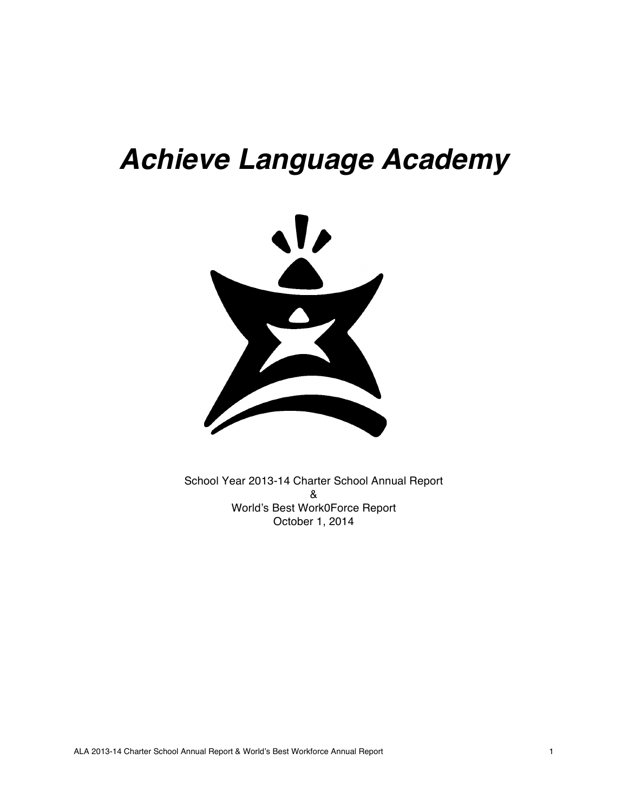# *Achieve Language Academy*



School Year 2013-14 Charter School Annual Report & World's Best Work0Force Report October 1, 2014

ALA 2013-14 Charter School Annual Report & World's Best Workforce Annual Report 1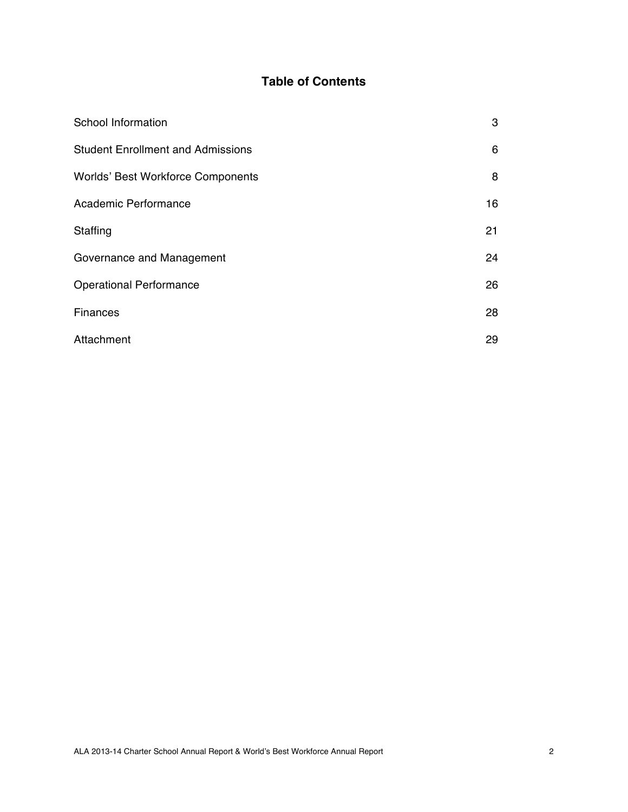## **Table of Contents**

| School Information                       | 3  |
|------------------------------------------|----|
| <b>Student Enrollment and Admissions</b> | 6  |
| Worlds' Best Workforce Components        | 8  |
| Academic Performance                     | 16 |
| Staffing                                 | 21 |
| Governance and Management                | 24 |
| <b>Operational Performance</b>           | 26 |
| Finances                                 | 28 |
| Attachment                               | 29 |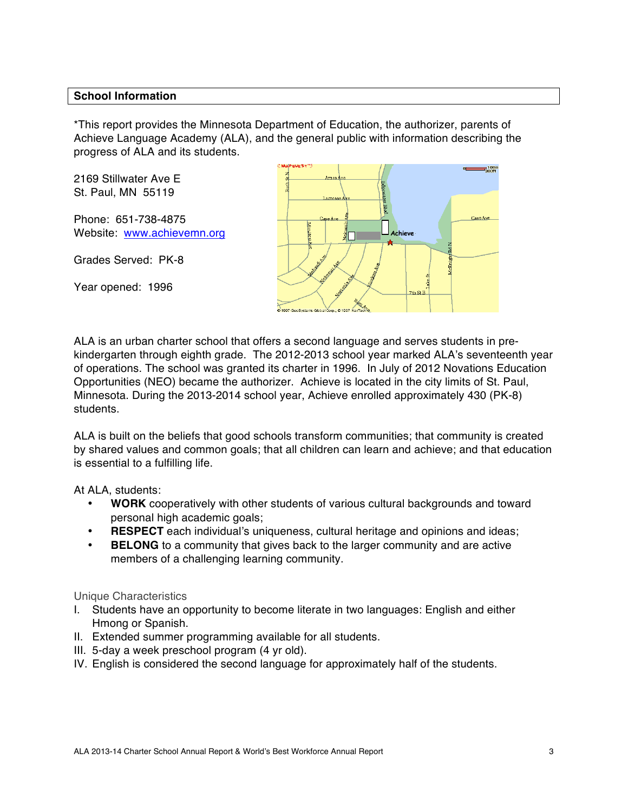## **School Information**

\*This report provides the Minnesota Department of Education, the authorizer, parents of Achieve Language Academy (ALA), and the general public with information describing the progress of ALA and its students.

2169 Stillwater Ave E St. Paul, MN 55119

Phone: 651-738-4875 Website: www.achievemn.org

Grades Served: PK-8

Year opened: 1996



ALA is an urban charter school that offers a second language and serves students in prekindergarten through eighth grade. The 2012-2013 school year marked ALA's seventeenth year of operations. The school was granted its charter in 1996. In July of 2012 Novations Education Opportunities (NEO) became the authorizer. Achieve is located in the city limits of St. Paul, Minnesota. During the 2013-2014 school year, Achieve enrolled approximately 430 (PK-8) students.

ALA is built on the beliefs that good schools transform communities; that community is created by shared values and common goals; that all children can learn and achieve; and that education is essential to a fulfilling life.

At ALA, students:

- **WORK** cooperatively with other students of various cultural backgrounds and toward personal high academic goals;
- **RESPECT** each individual's uniqueness, cultural heritage and opinions and ideas;
- **BELONG** to a community that gives back to the larger community and are active members of a challenging learning community.

#### Unique Characteristics

- I. Students have an opportunity to become literate in two languages: English and either Hmong or Spanish.
- II. Extended summer programming available for all students.
- III. 5-day a week preschool program (4 yr old).
- IV. English is considered the second language for approximately half of the students.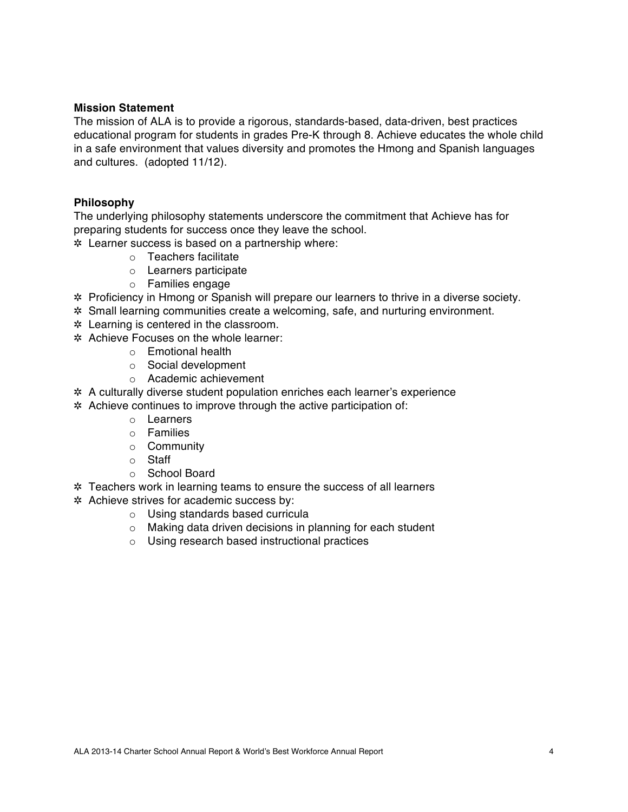#### **Mission Statement**

The mission of ALA is to provide a rigorous, standards-based, data-driven, best practices educational program for students in grades Pre-K through 8. Achieve educates the whole child in a safe environment that values diversity and promotes the Hmong and Spanish languages and cultures. (adopted 11/12).

#### **Philosophy**

The underlying philosophy statements underscore the commitment that Achieve has for preparing students for success once they leave the school.

- ✲ Learner success is based on a partnership where:
	- o Teachers facilitate
	- o Learners participate
	- o Families engage
- ✲ Proficiency in Hmong or Spanish will prepare our learners to thrive in a diverse society.
- ✲ Small learning communities create a welcoming, safe, and nurturing environment.
- ✲ Learning is centered in the classroom.
- ✲ Achieve Focuses on the whole learner:
	- o Emotional health
	- o Social development
	- o Academic achievement
- ✲ A culturally diverse student population enriches each learner's experience
- ✲ Achieve continues to improve through the active participation of:
	- o Learners
	- o Families
	- o Community
	- o Staff
	- o School Board
- ✲ Teachers work in learning teams to ensure the success of all learners
- ✲ Achieve strives for academic success by:
	- o Using standards based curricula
	- o Making data driven decisions in planning for each student
	- o Using research based instructional practices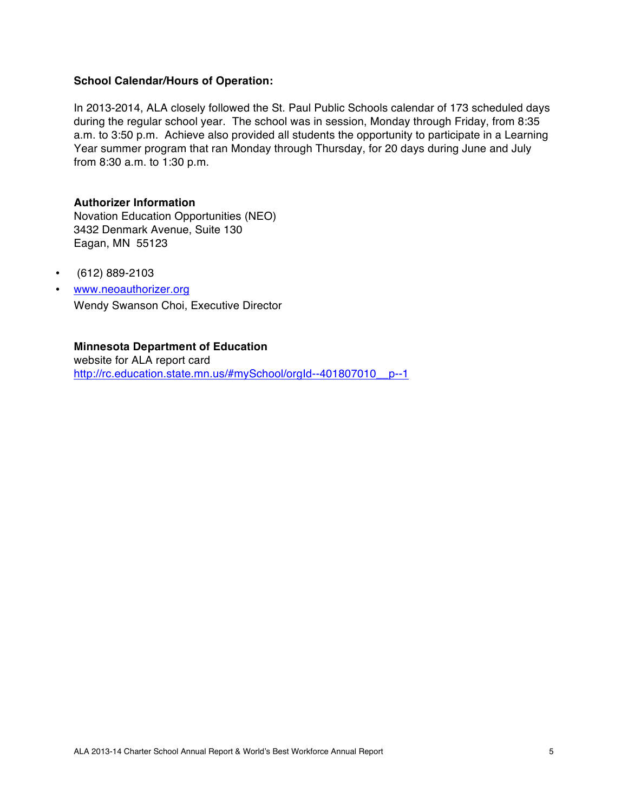#### **School Calendar/Hours of Operation:**

In 2013-2014, ALA closely followed the St. Paul Public Schools calendar of 173 scheduled days during the regular school year. The school was in session, Monday through Friday, from 8:35 a.m. to 3:50 p.m. Achieve also provided all students the opportunity to participate in a Learning Year summer program that ran Monday through Thursday, for 20 days during June and July from 8:30 a.m. to 1:30 p.m.

#### **Authorizer Information**

Novation Education Opportunities (NEO) 3432 Denmark Avenue, Suite 130 Eagan, MN 55123

- (612) 889-2103
- www.neoauthorizer.org Wendy Swanson Choi, Executive Director

## **Minnesota Department of Education**

website for ALA report card http://rc.education.state.mn.us/#mySchool/orgId--401807010\_p--1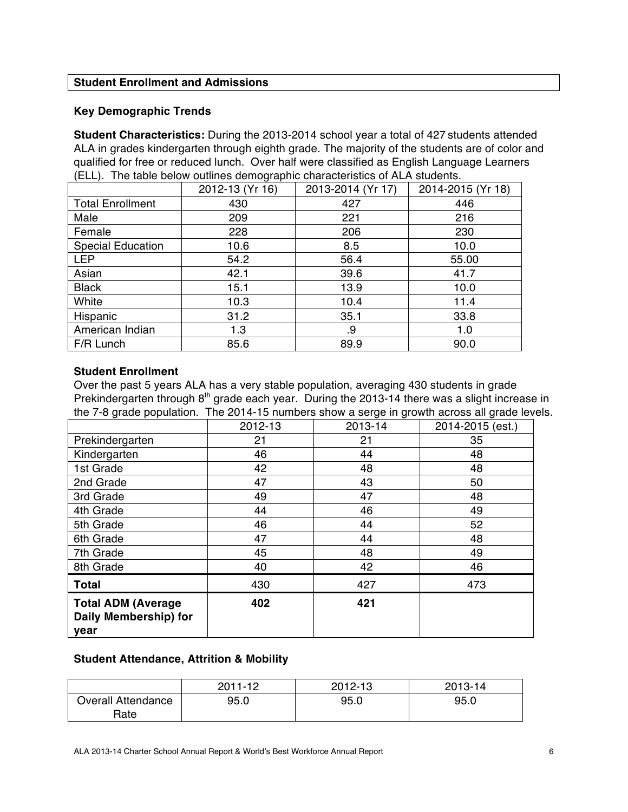## **Student Enrollment and Admissions**

## **Key Demographic Trends**

**Student Characteristics:** During the 2013-2014 school year a total of 427 students attended ALA in grades kindergarten through eighth grade. The majority of the students are of color and qualified for free or reduced lunch. Over half were classified as English Language Learners (ELL). The table below outlines demographic characteristics of ALA students.

|                          | 2012-13 (Yr 16) | 2013-2014 (Yr 17) | 2014-2015 (Yr 18) |
|--------------------------|-----------------|-------------------|-------------------|
| <b>Total Enrollment</b>  | 430             | 427               | 446               |
| Male                     | 209             | 221               | 216               |
| Female                   | 228             | 206               | 230               |
| <b>Special Education</b> | 10.6            | 8.5               | 10.0              |
| <b>LEP</b>               | 54.2            | 56.4              | 55.00             |
| Asian                    | 42.1            | 39.6              | 41.7              |
| <b>Black</b>             | 15.1            | 13.9              | 10.0              |
| White                    | 10.3            | 10.4              | 11.4              |
| Hispanic                 | 31.2            | 35.1              | 33.8              |
| American Indian          | 1.3             | .9                | 1.0               |
| F/R Lunch                | 85.6            | 89.9              | 90.0              |

#### **Student Enrollment**

Over the past 5 years ALA has a very stable population, averaging 430 students in grade Prekindergarten through 8<sup>th</sup> grade each year. During the 2013-14 there was a slight increase in the 7-8 grade population. The 2014-15 numbers show a serge in growth across all grade levels.

|                                                            | 2012-13 | 2013-14 | 2014-2015 (est.) |
|------------------------------------------------------------|---------|---------|------------------|
| Prekindergarten                                            | 21      | 21      | 35               |
| Kindergarten                                               | 46      | 44      | 48               |
| 1st Grade                                                  | 42      | 48      | 48               |
| 2nd Grade                                                  | 47      | 43      | 50               |
| 3rd Grade                                                  | 49      | 47      | 48               |
| 4th Grade                                                  | 44      | 46      | 49               |
| 5th Grade                                                  | 46      | 44      | 52               |
| 6th Grade                                                  | 47      | 44      | 48               |
| 7th Grade                                                  | 45      | 48      | 49               |
| 8th Grade                                                  | 40      | 42      | 46               |
| <b>Total</b>                                               | 430     | 427     | 473              |
| <b>Total ADM (Average</b><br>Daily Membership) for<br>year | 402     | 421     |                  |

## **Student Attendance, Attrition & Mobility**

|                                   | $2011 - 12$ | 2012-13 | 2013-14 |
|-----------------------------------|-------------|---------|---------|
| <b>Overall Attendance</b><br>Rate | 95.0        | 95.0    | 95.0    |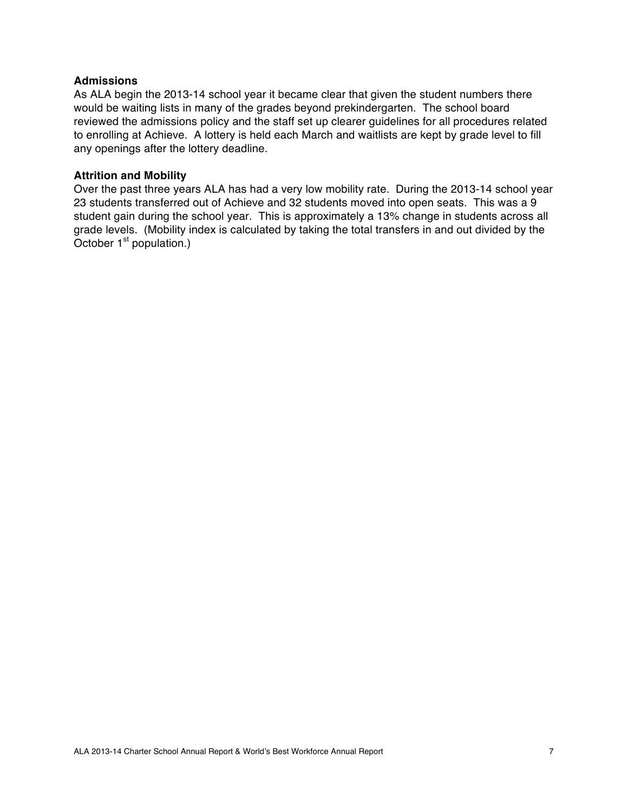## **Admissions**

As ALA begin the 2013-14 school year it became clear that given the student numbers there would be waiting lists in many of the grades beyond prekindergarten. The school board reviewed the admissions policy and the staff set up clearer guidelines for all procedures related to enrolling at Achieve. A lottery is held each March and waitlists are kept by grade level to fill any openings after the lottery deadline.

#### **Attrition and Mobility**

Over the past three years ALA has had a very low mobility rate. During the 2013-14 school year 23 students transferred out of Achieve and 32 students moved into open seats. This was a 9 student gain during the school year. This is approximately a 13% change in students across all grade levels. (Mobility index is calculated by taking the total transfers in and out divided by the October  $1<sup>st</sup>$  population.)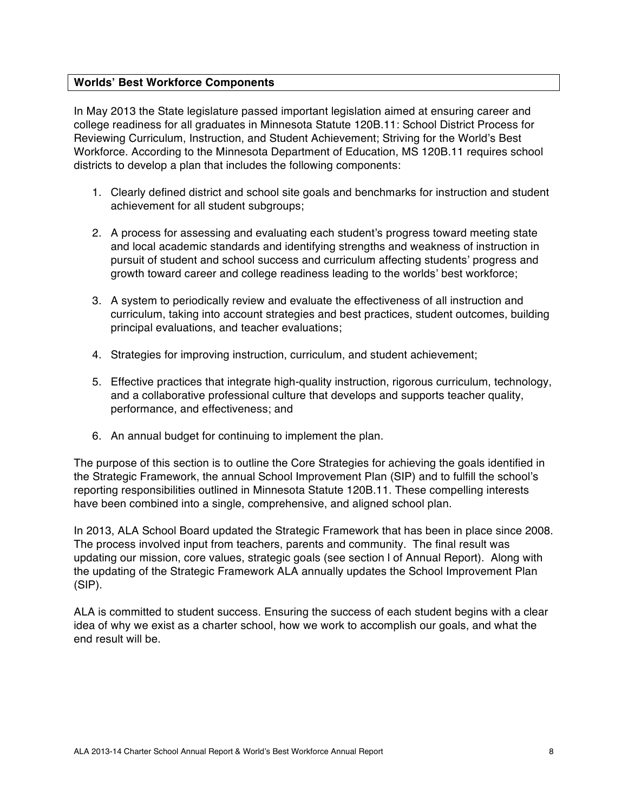## **Worlds' Best Workforce Components**

In May 2013 the State legislature passed important legislation aimed at ensuring career and college readiness for all graduates in Minnesota Statute 120B.11: School District Process for Reviewing Curriculum, Instruction, and Student Achievement; Striving for the World's Best Workforce. According to the Minnesota Department of Education, MS 120B.11 requires school districts to develop a plan that includes the following components:

- 1. Clearly defined district and school site goals and benchmarks for instruction and student achievement for all student subgroups;
- 2. A process for assessing and evaluating each student's progress toward meeting state and local academic standards and identifying strengths and weakness of instruction in pursuit of student and school success and curriculum affecting students' progress and growth toward career and college readiness leading to the worlds' best workforce;
- 3. A system to periodically review and evaluate the effectiveness of all instruction and curriculum, taking into account strategies and best practices, student outcomes, building principal evaluations, and teacher evaluations;
- 4. Strategies for improving instruction, curriculum, and student achievement;
- 5. Effective practices that integrate high-quality instruction, rigorous curriculum, technology, and a collaborative professional culture that develops and supports teacher quality, performance, and effectiveness; and
- 6. An annual budget for continuing to implement the plan.

The purpose of this section is to outline the Core Strategies for achieving the goals identified in the Strategic Framework, the annual School Improvement Plan (SIP) and to fulfill the school's reporting responsibilities outlined in Minnesota Statute 120B.11. These compelling interests have been combined into a single, comprehensive, and aligned school plan.

In 2013, ALA School Board updated the Strategic Framework that has been in place since 2008. The process involved input from teachers, parents and community. The final result was updating our mission, core values, strategic goals (see section l of Annual Report). Along with the updating of the Strategic Framework ALA annually updates the School Improvement Plan (SIP).

ALA is committed to student success. Ensuring the success of each student begins with a clear idea of why we exist as a charter school, how we work to accomplish our goals, and what the end result will be.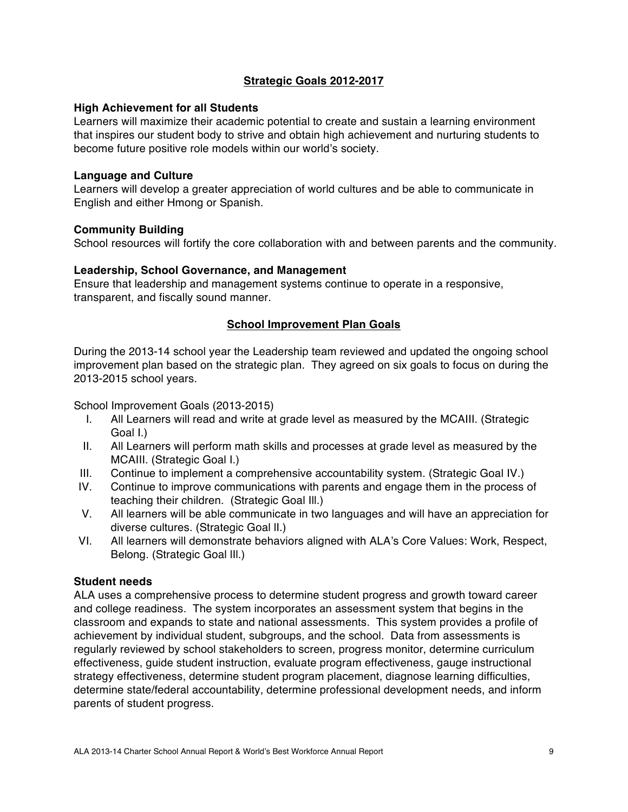## **Strategic Goals 2012-2017**

## **High Achievement for all Students**

Learners will maximize their academic potential to create and sustain a learning environment that inspires our student body to strive and obtain high achievement and nurturing students to become future positive role models within our world's society.

## **Language and Culture**

Learners will develop a greater appreciation of world cultures and be able to communicate in English and either Hmong or Spanish.

## **Community Building**

School resources will fortify the core collaboration with and between parents and the community.

## **Leadership, School Governance, and Management**

Ensure that leadership and management systems continue to operate in a responsive, transparent, and fiscally sound manner.

## **School Improvement Plan Goals**

During the 2013-14 school year the Leadership team reviewed and updated the ongoing school improvement plan based on the strategic plan. They agreed on six goals to focus on during the 2013-2015 school years.

School Improvement Goals (2013-2015)

- I. All Learners will read and write at grade level as measured by the MCAIII. (Strategic Goal I.)
- II. All Learners will perform math skills and processes at grade level as measured by the MCAIII. (Strategic Goal I.)
- III. Continue to implement a comprehensive accountability system. (Strategic Goal IV.)
- IV. Continue to improve communications with parents and engage them in the process of teaching their children. (Strategic Goal Ill.)
- V. All learners will be able communicate in two languages and will have an appreciation for diverse cultures. (Strategic Goal lI.)
- VI. All learners will demonstrate behaviors aligned with ALA's Core Values: Work, Respect, Belong. (Strategic Goal lIl.)

## **Student needs**

ALA uses a comprehensive process to determine student progress and growth toward career and college readiness. The system incorporates an assessment system that begins in the classroom and expands to state and national assessments. This system provides a profile of achievement by individual student, subgroups, and the school. Data from assessments is regularly reviewed by school stakeholders to screen, progress monitor, determine curriculum effectiveness, guide student instruction, evaluate program effectiveness, gauge instructional strategy effectiveness, determine student program placement, diagnose learning difficulties, determine state/federal accountability, determine professional development needs, and inform parents of student progress.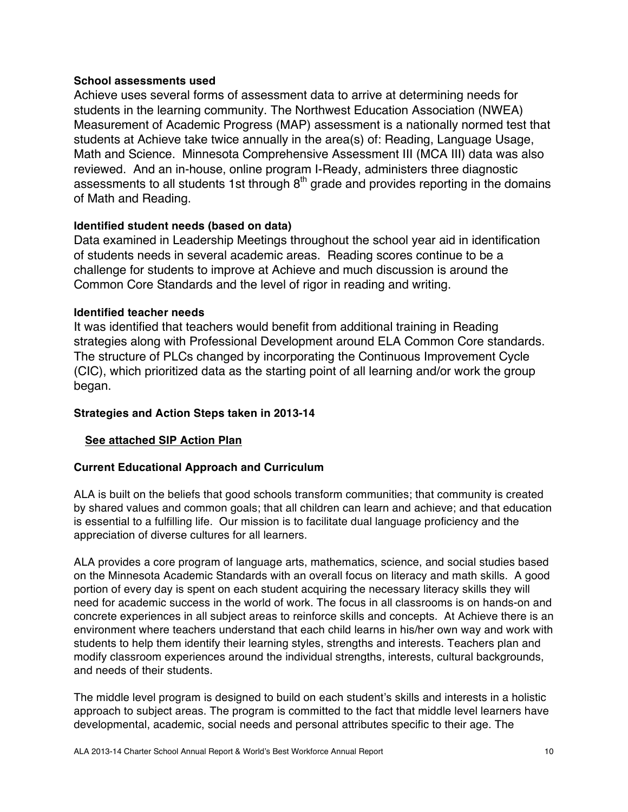## **School assessments used**

Achieve uses several forms of assessment data to arrive at determining needs for students in the learning community. The Northwest Education Association (NWEA) Measurement of Academic Progress (MAP) assessment is a nationally normed test that students at Achieve take twice annually in the area(s) of: Reading, Language Usage, Math and Science. Minnesota Comprehensive Assessment III (MCA III) data was also reviewed. And an in-house, online program I-Ready, administers three diagnostic assessments to all students 1st through  $8<sup>th</sup>$  grade and provides reporting in the domains of Math and Reading.

## **Identified student needs (based on data)**

Data examined in Leadership Meetings throughout the school year aid in identification of students needs in several academic areas. Reading scores continue to be a challenge for students to improve at Achieve and much discussion is around the Common Core Standards and the level of rigor in reading and writing.

## **Identified teacher needs**

It was identified that teachers would benefit from additional training in Reading strategies along with Professional Development around ELA Common Core standards. The structure of PLCs changed by incorporating the Continuous Improvement Cycle (CIC), which prioritized data as the starting point of all learning and/or work the group began.

## **Strategies and Action Steps taken in 2013-14**

## **See attached SIP Action Plan**

## **Current Educational Approach and Curriculum**

ALA is built on the beliefs that good schools transform communities; that community is created by shared values and common goals; that all children can learn and achieve; and that education is essential to a fulfilling life. Our mission is to facilitate dual language proficiency and the appreciation of diverse cultures for all learners.

ALA provides a core program of language arts, mathematics, science, and social studies based on the Minnesota Academic Standards with an overall focus on literacy and math skills. A good portion of every day is spent on each student acquiring the necessary literacy skills they will need for academic success in the world of work. The focus in all classrooms is on hands-on and concrete experiences in all subject areas to reinforce skills and concepts. At Achieve there is an environment where teachers understand that each child learns in his/her own way and work with students to help them identify their learning styles, strengths and interests. Teachers plan and modify classroom experiences around the individual strengths, interests, cultural backgrounds, and needs of their students.

The middle level program is designed to build on each student's skills and interests in a holistic approach to subject areas. The program is committed to the fact that middle level learners have developmental, academic, social needs and personal attributes specific to their age. The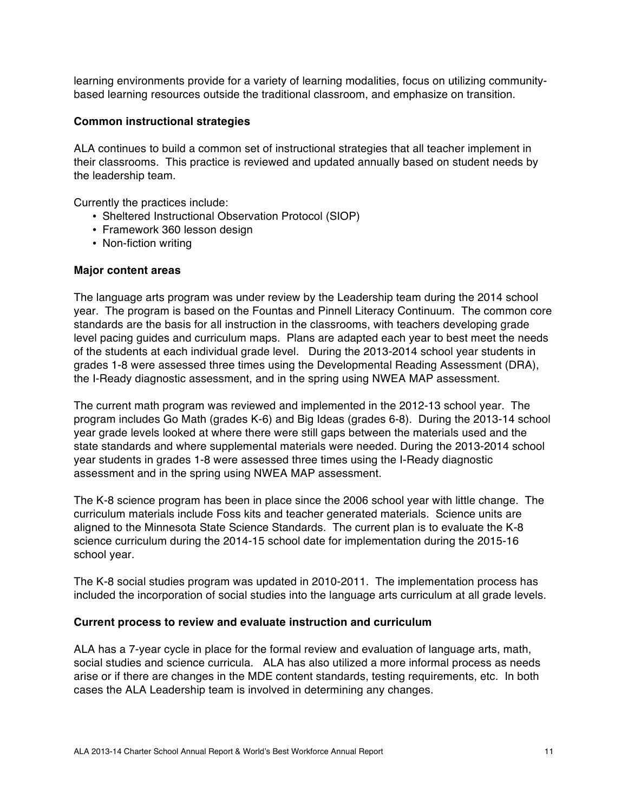learning environments provide for a variety of learning modalities, focus on utilizing communitybased learning resources outside the traditional classroom, and emphasize on transition.

## **Common instructional strategies**

ALA continues to build a common set of instructional strategies that all teacher implement in their classrooms. This practice is reviewed and updated annually based on student needs by the leadership team.

Currently the practices include:

- Sheltered Instructional Observation Protocol (SIOP)
- Framework 360 lesson design
- Non-fiction writing

#### **Major content areas**

The language arts program was under review by the Leadership team during the 2014 school year. The program is based on the Fountas and Pinnell Literacy Continuum. The common core standards are the basis for all instruction in the classrooms, with teachers developing grade level pacing guides and curriculum maps. Plans are adapted each year to best meet the needs of the students at each individual grade level. During the 2013-2014 school year students in grades 1-8 were assessed three times using the Developmental Reading Assessment (DRA), the I-Ready diagnostic assessment, and in the spring using NWEA MAP assessment.

The current math program was reviewed and implemented in the 2012-13 school year. The program includes Go Math (grades K-6) and Big Ideas (grades 6-8). During the 2013-14 school year grade levels looked at where there were still gaps between the materials used and the state standards and where supplemental materials were needed. During the 2013-2014 school year students in grades 1-8 were assessed three times using the I-Ready diagnostic assessment and in the spring using NWEA MAP assessment.

The K-8 science program has been in place since the 2006 school year with little change. The curriculum materials include Foss kits and teacher generated materials. Science units are aligned to the Minnesota State Science Standards. The current plan is to evaluate the K-8 science curriculum during the 2014-15 school date for implementation during the 2015-16 school year.

The K-8 social studies program was updated in 2010-2011. The implementation process has included the incorporation of social studies into the language arts curriculum at all grade levels.

#### **Current process to review and evaluate instruction and curriculum**

ALA has a 7-year cycle in place for the formal review and evaluation of language arts, math, social studies and science curricula. ALA has also utilized a more informal process as needs arise or if there are changes in the MDE content standards, testing requirements, etc. In both cases the ALA Leadership team is involved in determining any changes.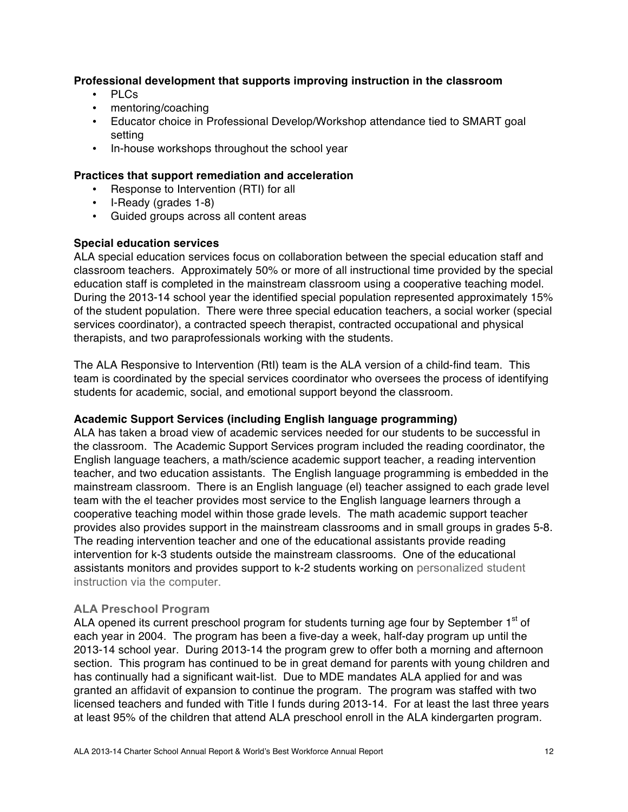## **Professional development that supports improving instruction in the classroom**

- PLCs
- mentoring/coaching
- Educator choice in Professional Develop/Workshop attendance tied to SMART goal setting
- In-house workshops throughout the school year

## **Practices that support remediation and acceleration**

- Response to Intervention (RTI) for all
- I-Ready (grades 1-8)
- Guided groups across all content areas

## **Special education services**

ALA special education services focus on collaboration between the special education staff and classroom teachers. Approximately 50% or more of all instructional time provided by the special education staff is completed in the mainstream classroom using a cooperative teaching model. During the 2013-14 school year the identified special population represented approximately 15% of the student population. There were three special education teachers, a social worker (special services coordinator), a contracted speech therapist, contracted occupational and physical therapists, and two paraprofessionals working with the students.

The ALA Responsive to Intervention (RtI) team is the ALA version of a child-find team. This team is coordinated by the special services coordinator who oversees the process of identifying students for academic, social, and emotional support beyond the classroom.

#### **Academic Support Services (including English language programming)**

ALA has taken a broad view of academic services needed for our students to be successful in the classroom. The Academic Support Services program included the reading coordinator, the English language teachers, a math/science academic support teacher, a reading intervention teacher, and two education assistants. The English language programming is embedded in the mainstream classroom. There is an English language (el) teacher assigned to each grade level team with the el teacher provides most service to the English language learners through a cooperative teaching model within those grade levels. The math academic support teacher provides also provides support in the mainstream classrooms and in small groups in grades 5-8. The reading intervention teacher and one of the educational assistants provide reading intervention for k-3 students outside the mainstream classrooms. One of the educational assistants monitors and provides support to k-2 students working on personalized student instruction via the computer.

#### **ALA Preschool Program**

ALA opened its current preschool program for students turning age four by September  $1<sup>st</sup>$  of each year in 2004. The program has been a five-day a week, half-day program up until the 2013-14 school year. During 2013-14 the program grew to offer both a morning and afternoon section. This program has continued to be in great demand for parents with young children and has continually had a significant wait-list. Due to MDE mandates ALA applied for and was granted an affidavit of expansion to continue the program. The program was staffed with two licensed teachers and funded with Title I funds during 2013-14. For at least the last three years at least 95% of the children that attend ALA preschool enroll in the ALA kindergarten program.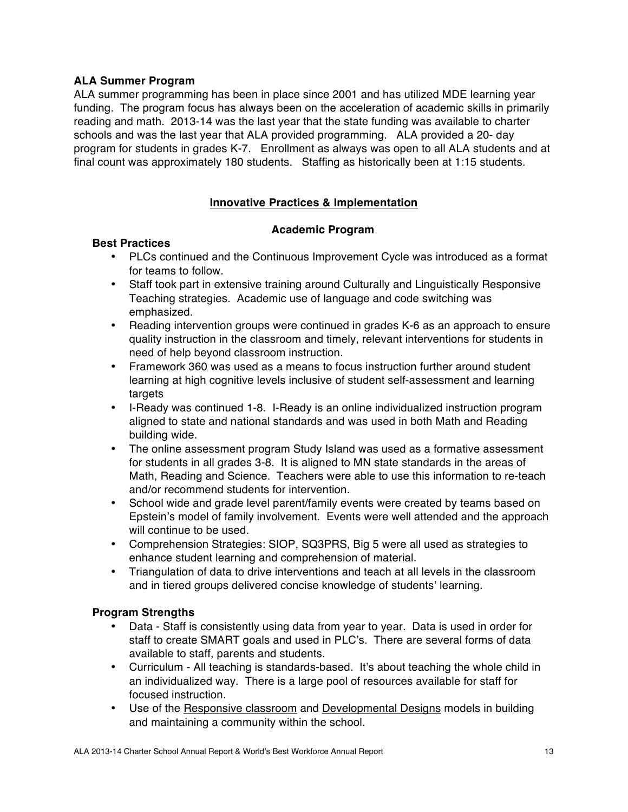## **ALA Summer Program**

ALA summer programming has been in place since 2001 and has utilized MDE learning year funding. The program focus has always been on the acceleration of academic skills in primarily reading and math. 2013-14 was the last year that the state funding was available to charter schools and was the last year that ALA provided programming. ALA provided a 20- day program for students in grades K-7. Enrollment as always was open to all ALA students and at final count was approximately 180 students. Staffing as historically been at 1:15 students.

## **Innovative Practices & Implementation**

## **Academic Program**

## **Best Practices**

- PLCs continued and the Continuous Improvement Cycle was introduced as a format for teams to follow.
- Staff took part in extensive training around Culturally and Linguistically Responsive Teaching strategies. Academic use of language and code switching was emphasized.
- Reading intervention groups were continued in grades K-6 as an approach to ensure quality instruction in the classroom and timely, relevant interventions for students in need of help beyond classroom instruction.
- Framework 360 was used as a means to focus instruction further around student learning at high cognitive levels inclusive of student self-assessment and learning targets
- I-Ready was continued 1-8. I-Ready is an online individualized instruction program aligned to state and national standards and was used in both Math and Reading building wide.
- The online assessment program Study Island was used as a formative assessment for students in all grades 3-8. It is aligned to MN state standards in the areas of Math, Reading and Science. Teachers were able to use this information to re-teach and/or recommend students for intervention.
- School wide and grade level parent/family events were created by teams based on Epstein's model of family involvement. Events were well attended and the approach will continue to be used.
- Comprehension Strategies: SIOP, SQ3PRS, Big 5 were all used as strategies to enhance student learning and comprehension of material.
- Triangulation of data to drive interventions and teach at all levels in the classroom and in tiered groups delivered concise knowledge of students' learning.

## **Program Strengths**

- Data Staff is consistently using data from year to year. Data is used in order for staff to create SMART goals and used in PLC's. There are several forms of data available to staff, parents and students.
- Curriculum All teaching is standards-based. It's about teaching the whole child in an individualized way. There is a large pool of resources available for staff for focused instruction.
- Use of the Responsive classroom and Developmental Designs models in building and maintaining a community within the school.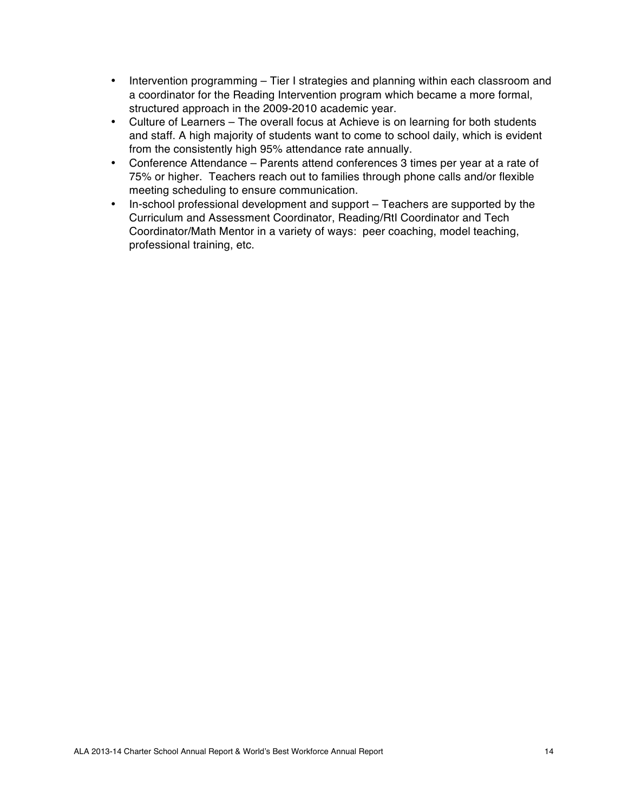- Intervention programming Tier I strategies and planning within each classroom and a coordinator for the Reading Intervention program which became a more formal, structured approach in the 2009-2010 academic year.
- Culture of Learners The overall focus at Achieve is on learning for both students and staff. A high majority of students want to come to school daily, which is evident from the consistently high 95% attendance rate annually.
- Conference Attendance Parents attend conferences 3 times per year at a rate of 75% or higher. Teachers reach out to families through phone calls and/or flexible meeting scheduling to ensure communication.
- In-school professional development and support Teachers are supported by the Curriculum and Assessment Coordinator, Reading/RtI Coordinator and Tech Coordinator/Math Mentor in a variety of ways: peer coaching, model teaching, professional training, etc.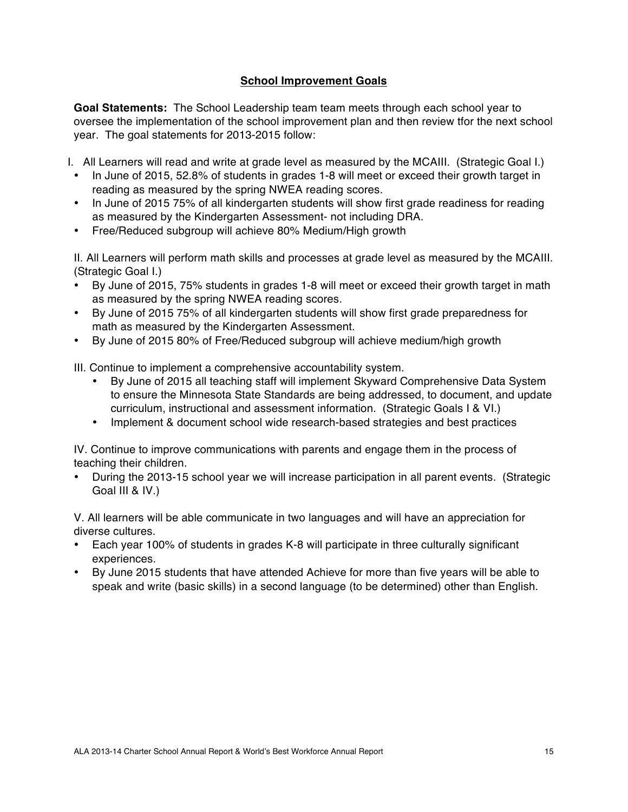## **School Improvement Goals**

**Goal Statements:** The School Leadership team team meets through each school year to oversee the implementation of the school improvement plan and then review tfor the next school year. The goal statements for 2013-2015 follow:

- I. All Learners will read and write at grade level as measured by the MCAIII. (Strategic Goal I.)
- In June of 2015, 52.8% of students in grades 1-8 will meet or exceed their growth target in reading as measured by the spring NWEA reading scores.
- In June of 2015 75% of all kindergarten students will show first grade readiness for reading as measured by the Kindergarten Assessment- not including DRA.
- Free/Reduced subgroup will achieve 80% Medium/High growth

II. All Learners will perform math skills and processes at grade level as measured by the MCAIII. (Strategic Goal I.)

- By June of 2015, 75% students in grades 1-8 will meet or exceed their growth target in math as measured by the spring NWEA reading scores.
- By June of 2015 75% of all kindergarten students will show first grade preparedness for math as measured by the Kindergarten Assessment.
- By June of 2015 80% of Free/Reduced subgroup will achieve medium/high growth

III. Continue to implement a comprehensive accountability system.

- By June of 2015 all teaching staff will implement Skyward Comprehensive Data System to ensure the Minnesota State Standards are being addressed, to document, and update curriculum, instructional and assessment information. (Strategic Goals I & VI.)
- Implement & document school wide research-based strategies and best practices

IV. Continue to improve communications with parents and engage them in the process of teaching their children.

• During the 2013-15 school year we will increase participation in all parent events. (Strategic Goal III & IV.)

V. All learners will be able communicate in two languages and will have an appreciation for diverse cultures.

- Each year 100% of students in grades K-8 will participate in three culturally significant experiences.
- By June 2015 students that have attended Achieve for more than five years will be able to speak and write (basic skills) in a second language (to be determined) other than English.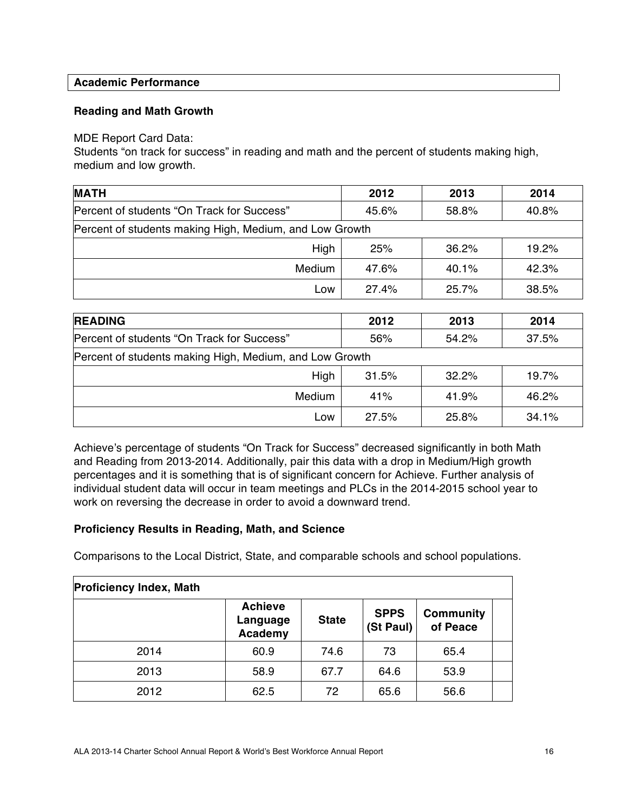## **Academic Performance**

## **Reading and Math Growth**

#### MDE Report Card Data:

Students "on track for success" in reading and math and the percent of students making high, medium and low growth.

| <b>MATH</b>                                             | 2012  | 2013  | 2014  |
|---------------------------------------------------------|-------|-------|-------|
| Percent of students "On Track for Success"              | 45.6% | 58.8% | 40.8% |
| Percent of students making High, Medium, and Low Growth |       |       |       |
| High                                                    | 25%   | 36.2% | 19.2% |
| <b>Medium</b>                                           | 47.6% | 40.1% | 42.3% |
| Low                                                     | 27.4% | 25.7% | 38.5% |

| <b>READING</b>                                          | 2012  | 2013     | 2014  |
|---------------------------------------------------------|-------|----------|-------|
| Percent of students "On Track for Success"              | 56%   | 54.2%    | 37.5% |
| Percent of students making High, Medium, and Low Growth |       |          |       |
| High                                                    | 31.5% | $32.2\%$ | 19.7% |
| Medium                                                  | 41%   | 41.9%    | 46.2% |
| Low                                                     | 27.5% | 25.8%    | 34.1% |

Achieve's percentage of students "On Track for Success" decreased significantly in both Math and Reading from 2013-2014. Additionally, pair this data with a drop in Medium/High growth percentages and it is something that is of significant concern for Achieve. Further analysis of individual student data will occur in team meetings and PLCs in the 2014-2015 school year to work on reversing the decrease in order to avoid a downward trend.

## **Proficiency Results in Reading, Math, and Science**

Comparisons to the Local District, State, and comparable schools and school populations.

| <b>Proficiency Index, Math</b> |                                       |              |                          |                              |  |
|--------------------------------|---------------------------------------|--------------|--------------------------|------------------------------|--|
|                                | <b>Achieve</b><br>Language<br>Academy | <b>State</b> | <b>SPPS</b><br>(St Paul) | <b>Community</b><br>of Peace |  |
| 2014                           | 60.9                                  | 74.6         | 73                       | 65.4                         |  |
| 2013                           | 58.9                                  | 67.7         | 64.6                     | 53.9                         |  |
| 2012                           | 62.5                                  | 72           | 65.6                     | 56.6                         |  |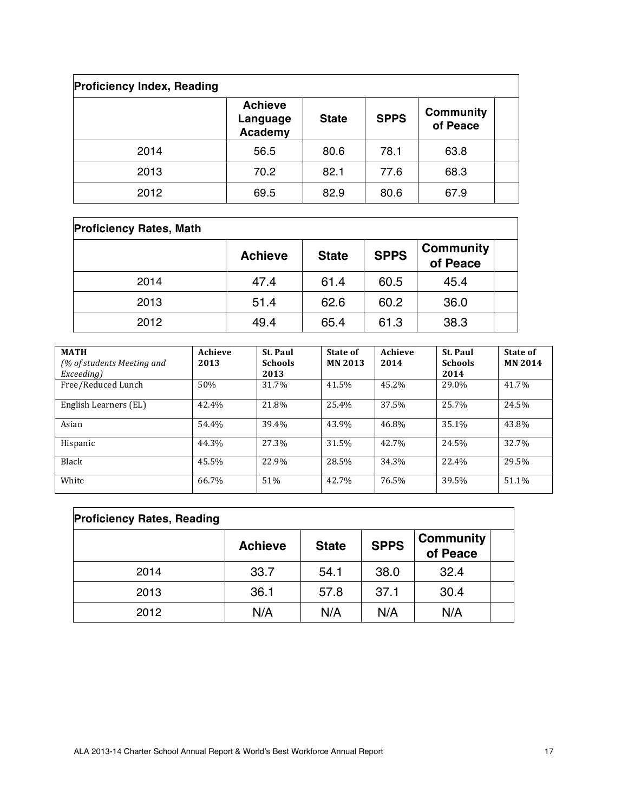| <b>Proficiency Index, Reading</b> |                                       |              |             |                              |  |
|-----------------------------------|---------------------------------------|--------------|-------------|------------------------------|--|
|                                   | <b>Achieve</b><br>Language<br>Academy | <b>State</b> | <b>SPPS</b> | <b>Community</b><br>of Peace |  |
| 2014                              | 56.5                                  | 80.6         | 78.1        | 63.8                         |  |
| 2013                              | 70.2                                  | 82.1         | 77.6        | 68.3                         |  |
| 2012                              | 69.5                                  | 82.9         | 80.6        | 67.9                         |  |

| <b>Proficiency Rates, Math</b> |                |              |             |                              |  |
|--------------------------------|----------------|--------------|-------------|------------------------------|--|
|                                | <b>Achieve</b> | <b>State</b> | <b>SPPS</b> | <b>Community</b><br>of Peace |  |
| 2014                           | 47.4           | 61.4         | 60.5        | 45.4                         |  |
| 2013                           | 51.4           | 62.6         | 60.2        | 36.0                         |  |
| 2012                           | 49.4           | 65.4         | 61.3        | 38.3                         |  |

| <b>MATH</b><br>(% of students Meeting and<br>Exceeding) | Achieve<br>2013 | <b>St. Paul</b><br><b>Schools</b><br>2013 | State of<br><b>MN 2013</b> | Achieve<br>2014 | <b>St. Paul</b><br><b>Schools</b><br>2014 | State of<br><b>MN 2014</b> |
|---------------------------------------------------------|-----------------|-------------------------------------------|----------------------------|-----------------|-------------------------------------------|----------------------------|
| Free/Reduced Lunch                                      | 50%             | 31.7%                                     | 41.5%                      | 45.2%           | 29.0%                                     | 41.7%                      |
| English Learners (EL)                                   | 42.4%           | 21.8%                                     | 25.4%                      | 37.5%           | 25.7%                                     | 24.5%                      |
| Asian                                                   | 54.4%           | 39.4%                                     | 43.9%                      | 46.8%           | 35.1%                                     | 43.8%                      |
| Hispanic                                                | 44.3%           | 27.3%                                     | 31.5%                      | 42.7%           | 24.5%                                     | 32.7%                      |
| <b>Black</b>                                            | 45.5%           | 22.9%                                     | 28.5%                      | 34.3%           | 22.4%                                     | 29.5%                      |
| White                                                   | 66.7%           | 51%                                       | 42.7%                      | 76.5%           | 39.5%                                     | 51.1%                      |

| <b>Proficiency Rates, Reading</b> |                |              |             |                              |  |
|-----------------------------------|----------------|--------------|-------------|------------------------------|--|
|                                   | <b>Achieve</b> | <b>State</b> | <b>SPPS</b> | <b>Community</b><br>of Peace |  |
| 2014                              | 33.7           | 54.1         | 38.0        | 32.4                         |  |
| 2013                              | 36.1           | 57.8         | 37.1        | 30.4                         |  |
| 2012                              | N/A            | N/A          | N/A         | N/A                          |  |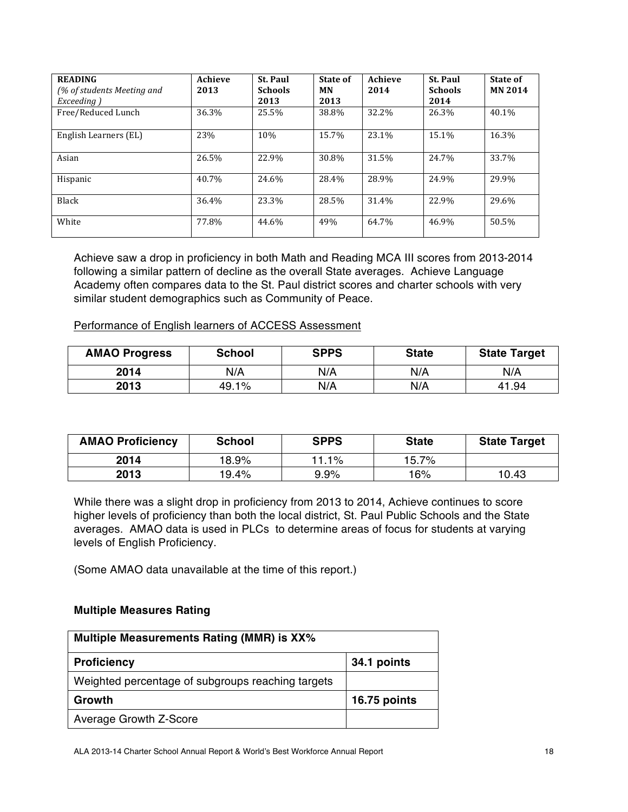| <b>READING</b><br>(% of students Meeting and<br>Exceeding) | Achieve<br>2013 | <b>St. Paul</b><br><b>Schools</b><br>2013 | State of<br>МN<br>2013 | Achieve<br>2014 | <b>St. Paul</b><br><b>Schools</b><br>2014 | State of<br><b>MN 2014</b> |
|------------------------------------------------------------|-----------------|-------------------------------------------|------------------------|-----------------|-------------------------------------------|----------------------------|
| Free/Reduced Lunch                                         | 36.3%           | 25.5%                                     | 38.8%                  | 32.2%           | 26.3%                                     | 40.1%                      |
| English Learners (EL)                                      | 23%             | 10%                                       | 15.7%                  | 23.1%           | 15.1%                                     | 16.3%                      |
| Asian                                                      | 26.5%           | 22.9%                                     | 30.8%                  | 31.5%           | 24.7%                                     | 33.7%                      |
| Hispanic                                                   | 40.7%           | 24.6%                                     | 28.4%                  | 28.9%           | 24.9%                                     | 29.9%                      |
| Black                                                      | 36.4%           | 23.3%                                     | 28.5%                  | 31.4%           | 22.9%                                     | 29.6%                      |
| White                                                      | 77.8%           | 44.6%                                     | 49%                    | 64.7%           | 46.9%                                     | 50.5%                      |

Achieve saw a drop in proficiency in both Math and Reading MCA III scores from 2013-2014 following a similar pattern of decline as the overall State averages. Achieve Language Academy often compares data to the St. Paul district scores and charter schools with very similar student demographics such as Community of Peace.

Performance of English learners of ACCESS Assessment

| <b>AMAO Progress</b> | <b>School</b> | <b>SPPS</b> | <b>State</b> | <b>State Target</b> |
|----------------------|---------------|-------------|--------------|---------------------|
| 2014                 | N/A           | N/A         | N/A          | N/A                 |
| 2013                 | 49.1%         | N/A         | N/A          | 41.94               |

| <b>AMAO Proficiency</b> | <b>School</b> | <b>SPPS</b> | <b>State</b> | <b>State Target</b> |
|-------------------------|---------------|-------------|--------------|---------------------|
| 2014                    | 18.9%         | 11.1%       | 15.7%        |                     |
| 2013                    | 19.4%         | $9.9\%$     | 16%          | 10.43               |

While there was a slight drop in proficiency from 2013 to 2014, Achieve continues to score higher levels of proficiency than both the local district, St. Paul Public Schools and the State averages. AMAO data is used in PLCs to determine areas of focus for students at varying levels of English Proficiency.

(Some AMAO data unavailable at the time of this report.)

#### **Multiple Measures Rating**

| Multiple Measurements Rating (MMR) is XX%         |              |  |  |  |  |
|---------------------------------------------------|--------------|--|--|--|--|
| <b>Proficiency</b>                                | 34.1 points  |  |  |  |  |
| Weighted percentage of subgroups reaching targets |              |  |  |  |  |
| Growth                                            | 16.75 points |  |  |  |  |
| Average Growth Z-Score                            |              |  |  |  |  |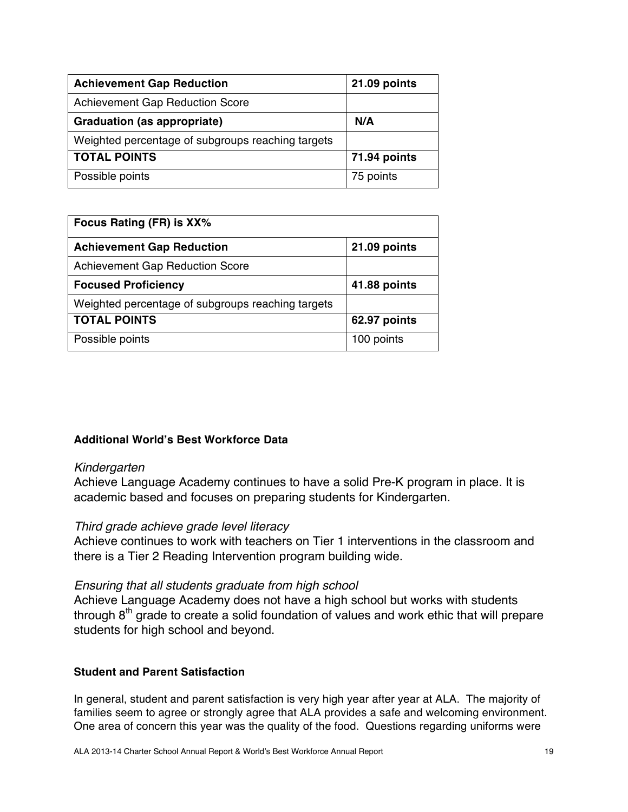| <b>Achievement Gap Reduction</b>                  | 21.09 points |
|---------------------------------------------------|--------------|
| <b>Achievement Gap Reduction Score</b>            |              |
| <b>Graduation (as appropriate)</b>                | N/A          |
| Weighted percentage of subgroups reaching targets |              |
| <b>TOTAL POINTS</b>                               | 71.94 points |
| Possible points                                   | 75 points    |

| Focus Rating (FR) is XX%                          |              |  |  |  |
|---------------------------------------------------|--------------|--|--|--|
| <b>Achievement Gap Reduction</b>                  | 21.09 points |  |  |  |
| <b>Achievement Gap Reduction Score</b>            |              |  |  |  |
| <b>Focused Proficiency</b>                        | 41.88 points |  |  |  |
| Weighted percentage of subgroups reaching targets |              |  |  |  |
| <b>TOTAL POINTS</b>                               | 62.97 points |  |  |  |
| Possible points                                   | 100 points   |  |  |  |

## **Additional World's Best Workforce Data**

## *Kindergarten*

Achieve Language Academy continues to have a solid Pre-K program in place. It is academic based and focuses on preparing students for Kindergarten.

## *Third grade achieve grade level literacy*

Achieve continues to work with teachers on Tier 1 interventions in the classroom and there is a Tier 2 Reading Intervention program building wide.

## *Ensuring that all students graduate from high school*

Achieve Language Academy does not have a high school but works with students through 8<sup>th</sup> grade to create a solid foundation of values and work ethic that will prepare students for high school and beyond.

#### **Student and Parent Satisfaction**

In general, student and parent satisfaction is very high year after year at ALA. The majority of families seem to agree or strongly agree that ALA provides a safe and welcoming environment. One area of concern this year was the quality of the food. Questions regarding uniforms were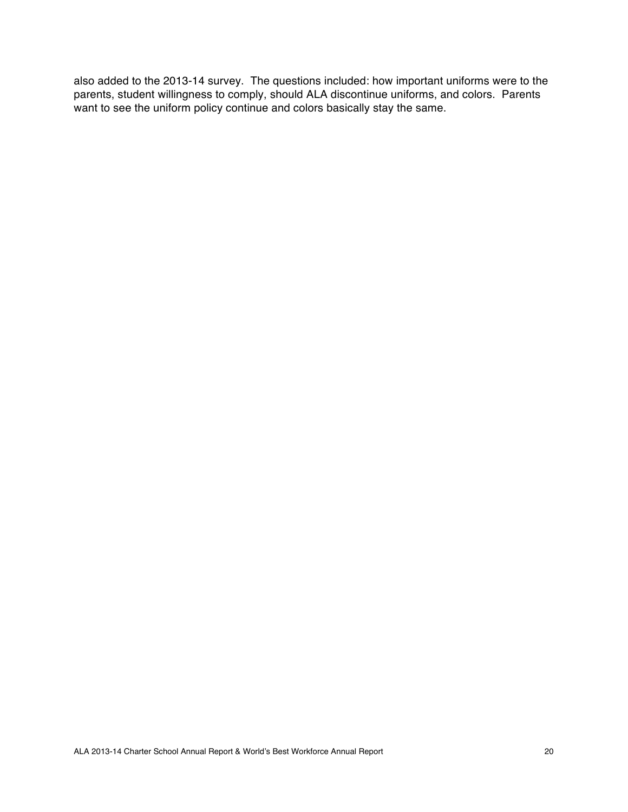also added to the 2013-14 survey. The questions included: how important uniforms were to the parents, student willingness to comply, should ALA discontinue uniforms, and colors. Parents want to see the uniform policy continue and colors basically stay the same.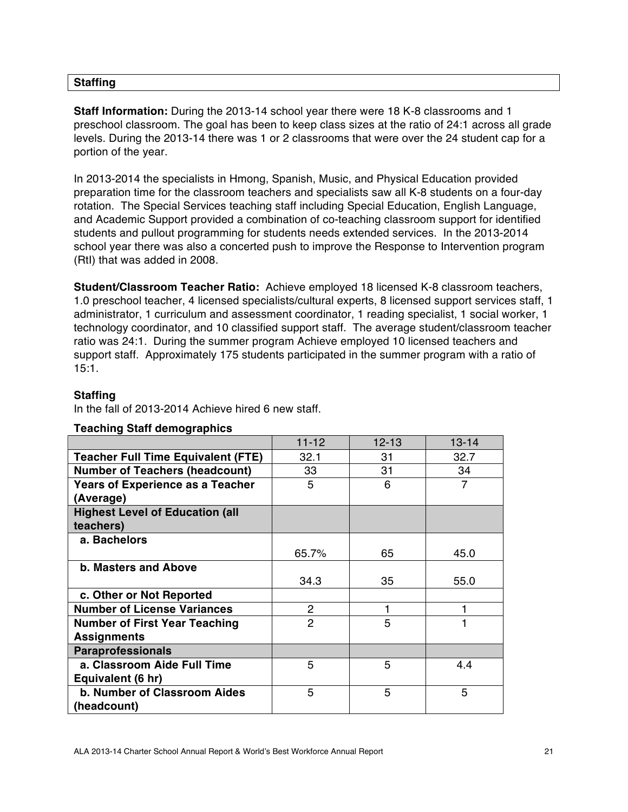## **Staffing**

**Staff Information:** During the 2013-14 school year there were 18 K-8 classrooms and 1 preschool classroom. The goal has been to keep class sizes at the ratio of 24:1 across all grade levels. During the 2013-14 there was 1 or 2 classrooms that were over the 24 student cap for a portion of the year.

In 2013-2014 the specialists in Hmong, Spanish, Music, and Physical Education provided preparation time for the classroom teachers and specialists saw all K-8 students on a four-day rotation. The Special Services teaching staff including Special Education, English Language, and Academic Support provided a combination of co-teaching classroom support for identified students and pullout programming for students needs extended services. In the 2013-2014 school year there was also a concerted push to improve the Response to Intervention program (RtI) that was added in 2008.

**Student/Classroom Teacher Ratio:** Achieve employed 18 licensed K-8 classroom teachers, 1.0 preschool teacher, 4 licensed specialists/cultural experts, 8 licensed support services staff, 1 administrator, 1 curriculum and assessment coordinator, 1 reading specialist, 1 social worker, 1 technology coordinator, and 10 classified support staff. The average student/classroom teacher ratio was 24:1. During the summer program Achieve employed 10 licensed teachers and support staff. Approximately 175 students participated in the summer program with a ratio of 15:1.

## **Staffing**

In the fall of 2013-2014 Achieve hired 6 new staff.

|                                           | $11 - 12$      | $12 - 13$ | $13 - 14$ |
|-------------------------------------------|----------------|-----------|-----------|
| <b>Teacher Full Time Equivalent (FTE)</b> | 32.1           | 31        | 32.7      |
| <b>Number of Teachers (headcount)</b>     | 33             | 31        | 34        |
| <b>Years of Experience as a Teacher</b>   | 5              | 6         | 7         |
| (Average)                                 |                |           |           |
| <b>Highest Level of Education (all</b>    |                |           |           |
| teachers)                                 |                |           |           |
| a. Bachelors                              |                |           |           |
|                                           | 65.7%          | 65        | 45.0      |
| <b>b. Masters and Above</b>               |                |           |           |
|                                           | 34.3           | 35        | 55.0      |
| c. Other or Not Reported                  |                |           |           |
| <b>Number of License Variances</b>        | $\overline{2}$ | 1         |           |
| <b>Number of First Year Teaching</b>      | $\overline{2}$ | 5         |           |
| <b>Assignments</b>                        |                |           |           |
| <b>Paraprofessionals</b>                  |                |           |           |
| a. Classroom Aide Full Time               | 5              | 5         | 4.4       |
| Equivalent (6 hr)                         |                |           |           |
| <b>b. Number of Classroom Aides</b>       | 5              | 5         | 5         |
| (headcount)                               |                |           |           |

## **Teaching Staff demographics**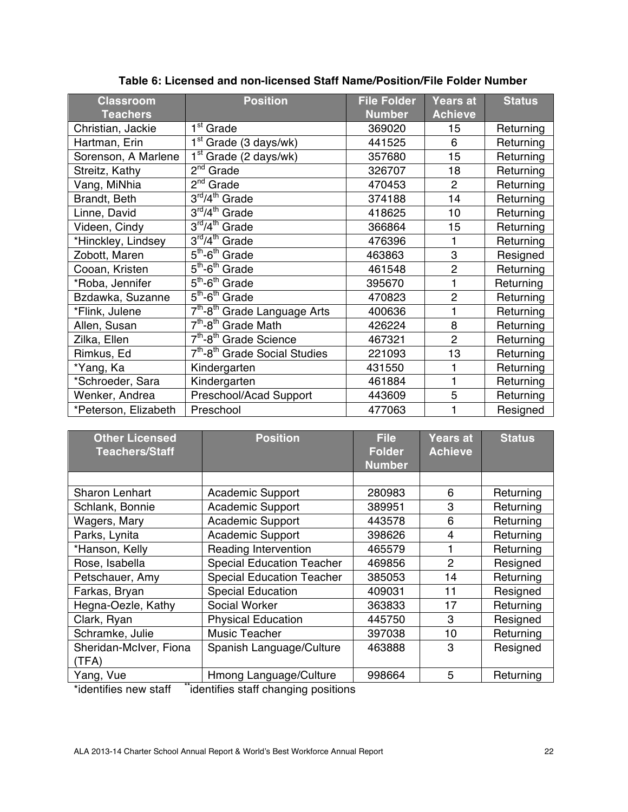| <b>Classroom</b><br><b>Teachers</b> | <b>Position</b>                                       | <b>File Folder</b><br><b>Number</b> | Years at<br><b>Achieve</b> | <b>Status</b> |
|-------------------------------------|-------------------------------------------------------|-------------------------------------|----------------------------|---------------|
| Christian, Jackie                   | 1 <sup>st</sup> Grade                                 | 369020                              | 15                         | Returning     |
| Hartman, Erin                       | $1st$ Grade (3 days/wk)                               | 441525                              | 6                          | Returning     |
| Sorenson, A Marlene                 | $1st$ Grade (2 days/wk)                               | 357680                              | 15                         | Returning     |
| Streitz, Kathy                      | $2^{nd}$ Grade                                        | 326707                              | 18                         | Returning     |
| Vang, MiNhia                        | $2nd$ Grade                                           | 470453                              | 2                          | Returning     |
| Brandt, Beth                        | $\overline{3}^{\rm rd}/4^{\rm th}$ Grade              | 374188                              | 14                         | Returning     |
| Linne, David                        | 3rd/4 <sup>th</sup> Grade                             | 418625                              | 10                         | Returning     |
| Videen, Cindy                       | $3rd/4th$ Grade                                       | 366864                              | 15                         | Returning     |
| *Hinckley, Lindsey                  | 3rd/4 <sup>th</sup> Grade                             | 476396                              | 1                          | Returning     |
| Zobott, Maren                       | $\overline{5}^{\text{th}}$ -6 <sup>th</sup> Grade     | 463863                              | 3                          | Resigned      |
| Cooan, Kristen                      | $5th$ -6 <sup>th</sup> Grade                          | 461548                              | $\overline{2}$             | Returning     |
| *Roba, Jennifer                     | $5th$ -6 <sup>th</sup> Grade                          | 395670                              | 1                          | Returning     |
| Bzdawka, Suzanne                    | $\overline{5}^{\text{th}}$ -6 <sup>th</sup> Grade     | 470823                              | $\overline{2}$             | Returning     |
| *Flink, Julene                      | 7 <sup>th</sup> -8 <sup>th</sup> Grade Language Arts  | 400636                              | 1                          | Returning     |
| Allen, Susan                        | $7th - 8th$ Grade Math                                | 426224                              | 8                          | Returning     |
| Zilka, Ellen                        | 7 <sup>th</sup> -8 <sup>th</sup> Grade Science        | 467321                              | $\overline{2}$             | Returning     |
| Rimkus, Ed                          | 7 <sup>th</sup> -8 <sup>th</sup> Grade Social Studies | 221093                              | 13                         | Returning     |
| *Yang, Ka                           | Kindergarten                                          | 431550                              |                            | Returning     |
| *Schroeder, Sara                    | Kindergarten                                          | 461884                              | 1                          | Returning     |
| Wenker, Andrea                      | Preschool/Acad Support                                | 443609                              | 5                          | Returning     |
| *Peterson, Elizabeth                | Preschool                                             | 477063                              |                            | Resigned      |

## **Table 6: Licensed and non-licensed Staff Name/Position/File Folder Number**

| <b>Other Licensed</b><br><b>Teachers/Staff</b> | <b>Position</b>                                                                         | <b>File</b><br><b>Folder</b> | <b>Years at</b><br><b>Achieve</b> | <b>Status</b> |
|------------------------------------------------|-----------------------------------------------------------------------------------------|------------------------------|-----------------------------------|---------------|
|                                                |                                                                                         | <b>Number</b>                |                                   |               |
|                                                |                                                                                         |                              |                                   |               |
| <b>Sharon Lenhart</b>                          | <b>Academic Support</b>                                                                 | 280983                       | 6                                 | Returning     |
| Schlank, Bonnie                                | <b>Academic Support</b>                                                                 | 389951                       | 3                                 | Returning     |
| Wagers, Mary                                   | <b>Academic Support</b>                                                                 | 443578                       | 6                                 | Returning     |
| Parks, Lynita                                  | <b>Academic Support</b>                                                                 | 398626                       | 4                                 | Returning     |
| *Hanson, Kelly                                 | Reading Intervention                                                                    | 465579                       | 1                                 | Returning     |
| Rose, Isabella                                 | <b>Special Education Teacher</b>                                                        | 469856                       | $\overline{2}$                    | Resigned      |
| Petschauer, Amy                                | <b>Special Education Teacher</b>                                                        | 385053                       | 14                                | Returning     |
| Farkas, Bryan                                  | <b>Special Education</b>                                                                | 409031                       | 11                                | Resigned      |
| Hegna-Oezle, Kathy                             | Social Worker                                                                           | 363833                       | 17                                | Returning     |
| Clark, Ryan                                    | <b>Physical Education</b>                                                               | 445750                       | 3                                 | Resigned      |
| Schramke, Julie                                | <b>Music Teacher</b>                                                                    | 397038                       | 10                                | Returning     |
| Sheridan-McIver, Fiona                         | Spanish Language/Culture                                                                | 463888                       | 3                                 | Resigned      |
| (TFA)                                          |                                                                                         |                              |                                   |               |
| Yang, Vue<br>$\sim$ $\sim$                     | Hmong Language/Culture<br>$\mathbf{r}$ , and the set of $\mathbf{r}$ , and $\mathbf{r}$ | 998664                       | 5                                 | Returning     |

\*identifies new staff **\*\***identifies staff changing positions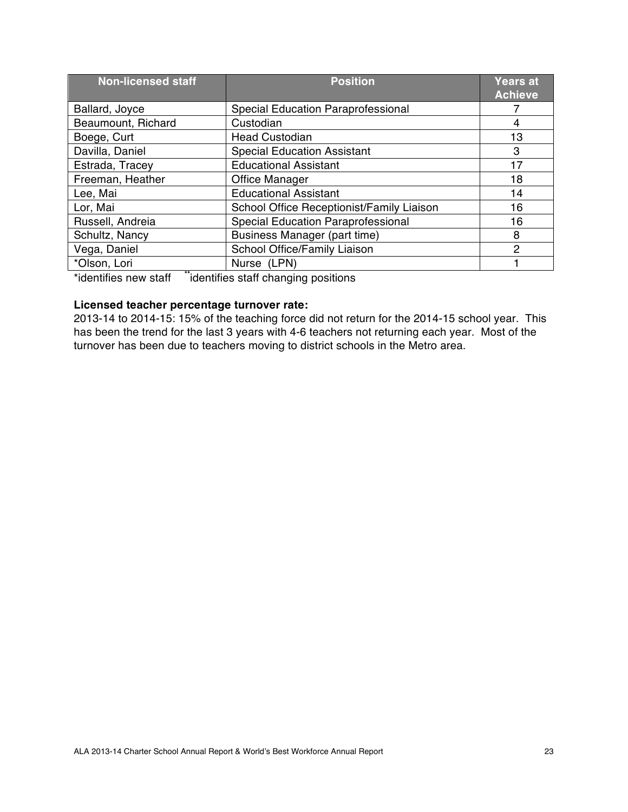| <b>Non-licensed staff</b>                                       | <b>Position</b>                                | <b>Years at</b><br><b>Achieve</b> |
|-----------------------------------------------------------------|------------------------------------------------|-----------------------------------|
| Ballard, Joyce                                                  | Special Education Paraprofessional             |                                   |
| Beaumount, Richard                                              | Custodian                                      | 4                                 |
| Boege, Curt                                                     | <b>Head Custodian</b>                          | 13                                |
| Davilla, Daniel                                                 | <b>Special Education Assistant</b>             | 3                                 |
| Estrada, Tracey                                                 | <b>Educational Assistant</b>                   | 17                                |
| Freeman, Heather                                                | <b>Office Manager</b>                          | 18                                |
| Lee, Mai                                                        | <b>Educational Assistant</b>                   | 14                                |
| Lor, Mai                                                        | School Office Receptionist/Family Liaison      | 16                                |
| Russell, Andreia                                                | <b>Special Education Paraprofessional</b>      | 16                                |
| Schultz, Nancy                                                  | Business Manager (part time)                   | 8                                 |
| Vega, Daniel                                                    | School Office/Family Liaison                   | 2                                 |
| *Olson, Lori                                                    | Nurse (LPN)                                    |                                   |
| $*!$ and a set $\mathcal{L}$ is a set of a set of $\mathcal{L}$ | <br>Talentifica polofficialmente e e catilicac |                                   |

\*identifies new staff **\*\***identifies staff changing positions

## **Licensed teacher percentage turnover rate:**

2013-14 to 2014-15: 15% of the teaching force did not return for the 2014-15 school year. This has been the trend for the last 3 years with 4-6 teachers not returning each year. Most of the turnover has been due to teachers moving to district schools in the Metro area.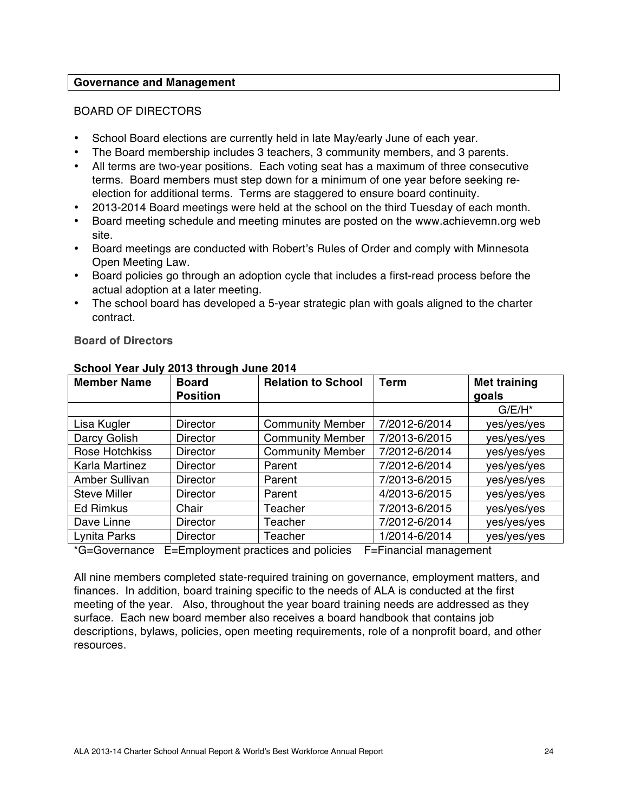#### **Governance and Management**

#### BOARD OF DIRECTORS

- School Board elections are currently held in late May/early June of each year.
- The Board membership includes 3 teachers, 3 community members, and 3 parents.
- All terms are two-year positions. Each voting seat has a maximum of three consecutive terms. Board members must step down for a minimum of one year before seeking reelection for additional terms. Terms are staggered to ensure board continuity.
- 2013-2014 Board meetings were held at the school on the third Tuesday of each month.
- Board meeting schedule and meeting minutes are posted on the www.achievemn.org web site.
- Board meetings are conducted with Robert's Rules of Order and comply with Minnesota Open Meeting Law.
- Board policies go through an adoption cycle that includes a first-read process before the actual adoption at a later meeting.
- The school board has developed a 5-year strategic plan with goals aligned to the charter contract.

| <b>Member Name</b>  | <b>Board</b>    | <b>Relation to School</b> | <b>Term</b>   | <b>Met training</b> |
|---------------------|-----------------|---------------------------|---------------|---------------------|
|                     | <b>Position</b> |                           |               | goals               |
|                     |                 |                           |               | $G/E/H^*$           |
| Lisa Kugler         | <b>Director</b> | <b>Community Member</b>   | 7/2012-6/2014 | yes/yes/yes         |
| Darcy Golish        | <b>Director</b> | <b>Community Member</b>   | 7/2013-6/2015 | yes/yes/yes         |
| Rose Hotchkiss      | <b>Director</b> | <b>Community Member</b>   | 7/2012-6/2014 | yes/yes/yes         |
| Karla Martinez      | <b>Director</b> | Parent                    | 7/2012-6/2014 | yes/yes/yes         |
| Amber Sullivan      | <b>Director</b> | Parent                    | 7/2013-6/2015 | yes/yes/yes         |
| <b>Steve Miller</b> | <b>Director</b> | Parent                    | 4/2013-6/2015 | yes/yes/yes         |
| <b>Ed Rimkus</b>    | Chair           | Teacher                   | 7/2013-6/2015 | yes/yes/yes         |
| Dave Linne          | <b>Director</b> | Teacher                   | 7/2012-6/2014 | yes/yes/yes         |
| Lynita Parks        | <b>Director</b> | Teacher                   | 1/2014-6/2014 | yes/yes/yes         |

#### **Board of Directors**

**School Year July 2013 through June 2014**

\*G=Governance E=Employment practices and policies F=Financial management

All nine members completed state-required training on governance, employment matters, and finances. In addition, board training specific to the needs of ALA is conducted at the first meeting of the year. Also, throughout the year board training needs are addressed as they surface. Each new board member also receives a board handbook that contains job descriptions, bylaws, policies, open meeting requirements, role of a nonprofit board, and other resources.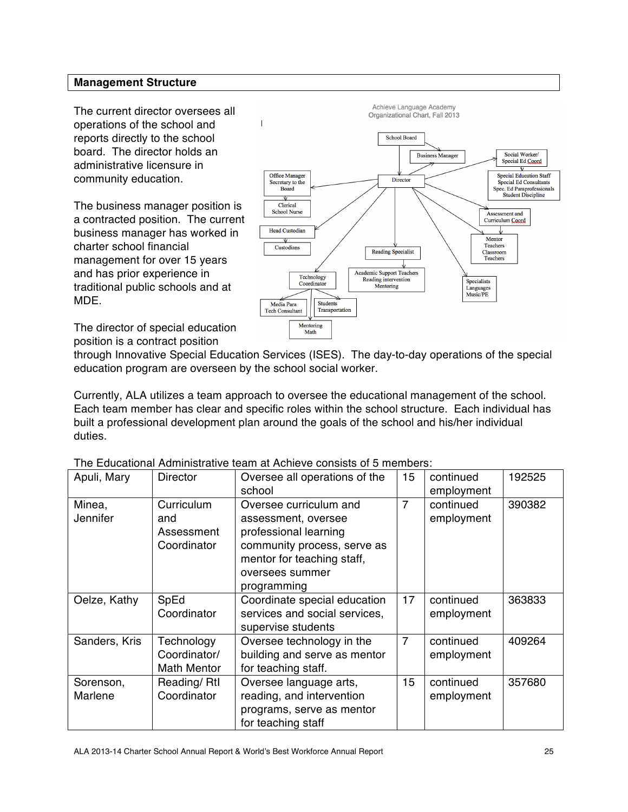## **Management Structure**

The current director oversees all operations of the school and reports directly to the school board. The director holds an administrative licensure in community education.

The business manager position is a contracted position. The current business manager has worked in charter school financial management for over 15 years and has prior experience in traditional public schools and at MDE.



The director of special education position is a contract position

through Innovative Special Education Services (ISES). The day-to-day operations of the special education program are overseen by the school social worker.

Currently, ALA utilizes a team approach to oversee the educational management of the school. Each team member has clear and specific roles within the school structure. Each individual has built a professional development plan around the goals of the school and his/her individual duties.

| Apuli, Mary               | <b>Director</b>                                  | Oversee all operations of the<br>school                                                                                                                               | 15             | continued<br>employment | 192525 |
|---------------------------|--------------------------------------------------|-----------------------------------------------------------------------------------------------------------------------------------------------------------------------|----------------|-------------------------|--------|
| Minea,<br><b>Jennifer</b> | Curriculum<br>and<br>Assessment<br>Coordinator   | Oversee curriculum and<br>assessment, oversee<br>professional learning<br>community process, serve as<br>mentor for teaching staff,<br>oversees summer<br>programming | $\overline{7}$ | continued<br>employment | 390382 |
| Oelze, Kathy              | SpEd<br>Coordinator                              | Coordinate special education<br>services and social services,<br>supervise students                                                                                   | 17             | continued<br>employment | 363833 |
| Sanders, Kris             | Technology<br>Coordinator/<br><b>Math Mentor</b> | Oversee technology in the<br>building and serve as mentor<br>for teaching staff.                                                                                      | $\overline{7}$ | continued<br>employment | 409264 |
| Sorenson,<br>Marlene      | Reading/Rtl<br>Coordinator                       | Oversee language arts,<br>reading, and intervention<br>programs, serve as mentor<br>for teaching staff                                                                | 15             | continued<br>employment | 357680 |

The Educational Administrative team at Achieve consists of 5 members: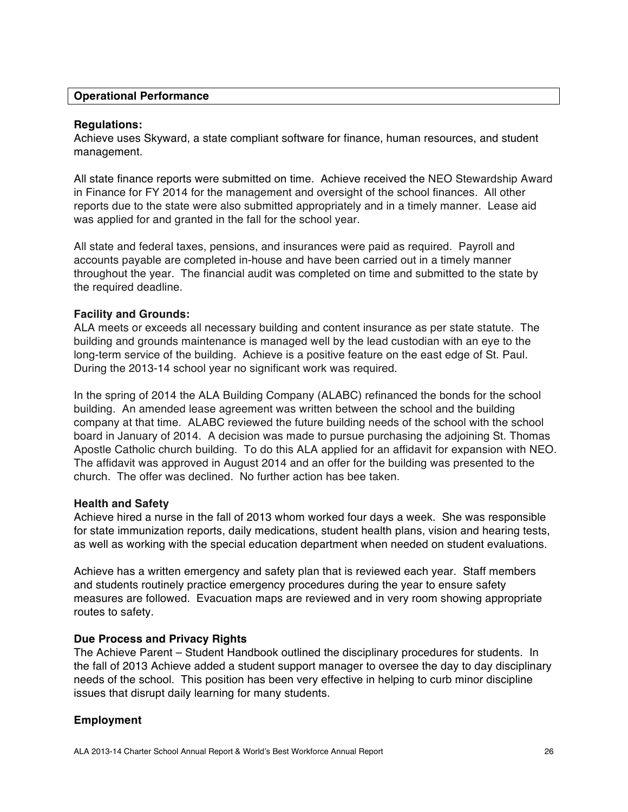#### **Operational Performance**

#### **Regulations:**

Achieve uses Skyward, a state compliant software for finance, human resources, and student management.

All state finance reports were submitted on time. Achieve received the NEO Stewardship Award in Finance for FY 2014 for the management and oversight of the school finances. All other reports due to the state were also submitted appropriately and in a timely manner. Lease aid was applied for and granted in the fall for the school year.

All state and federal taxes, pensions, and insurances were paid as required. Payroll and accounts payable are completed in-house and have been carried out in a timely manner throughout the year. The financial audit was completed on time and submitted to the state by the required deadline.

#### **Facility and Grounds:**

ALA meets or exceeds all necessary building and content insurance as per state statute. The building and grounds maintenance is managed well by the lead custodian with an eye to the long-term service of the building. Achieve is a positive feature on the east edge of St. Paul. During the 2013-14 school year no significant work was required.

In the spring of 2014 the ALA Building Company (ALABC) refinanced the bonds for the school building. An amended lease agreement was written between the school and the building company at that time. ALABC reviewed the future building needs of the school with the school board in January of 2014. A decision was made to pursue purchasing the adjoining St. Thomas Apostle Catholic church building. To do this ALA applied for an affidavit for expansion with NEO. The affidavit was approved in August 2014 and an offer for the building was presented to the church. The offer was declined. No further action has bee taken.

#### **Health and Safety**

Achieve hired a nurse in the fall of 2013 whom worked four days a week. She was responsible for state immunization reports, daily medications, student health plans, vision and hearing tests, as well as working with the special education department when needed on student evaluations.

Achieve has a written emergency and safety plan that is reviewed each year. Staff members and students routinely practice emergency procedures during the year to ensure safety measures are followed. Evacuation maps are reviewed and in very room showing appropriate routes to safety.

#### **Due Process and Privacy Rights**

The Achieve Parent – Student Handbook outlined the disciplinary procedures for students. In the fall of 2013 Achieve added a student support manager to oversee the day to day disciplinary needs of the school. This position has been very effective in helping to curb minor discipline issues that disrupt daily learning for many students.

#### **Employment**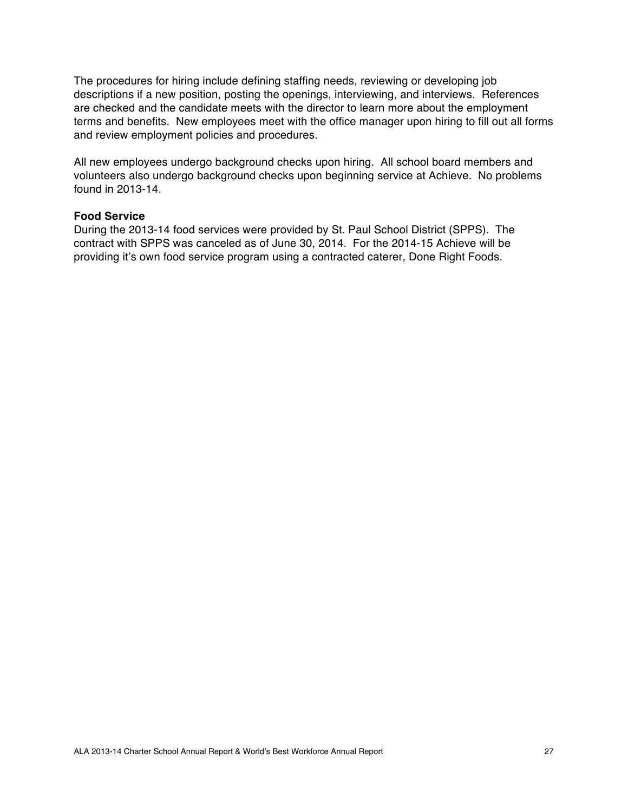The procedures for hiring include defining staffing needs, reviewing or developing job descriptions if a new position, posting the openings, interviewing, and interviews. References are checked and the candidate meets with the director to learn more about the employment terms and benefits. New employees meet with the office manager upon hiring to fill out all forms and review employment policies and procedures.

All new employees undergo background checks upon hiring. All school board members and volunteers also undergo background checks upon beginning service at Achieve. No problems found in 2013-14.

## **Food Service**

During the 2013-14 food services were provided by St. Paul School District (SPPS). The contract with SPPS was canceled as of June 30, 2014. For the 2014-15 Achieve will be providing it's own food service program using a contracted caterer, Done Right Foods.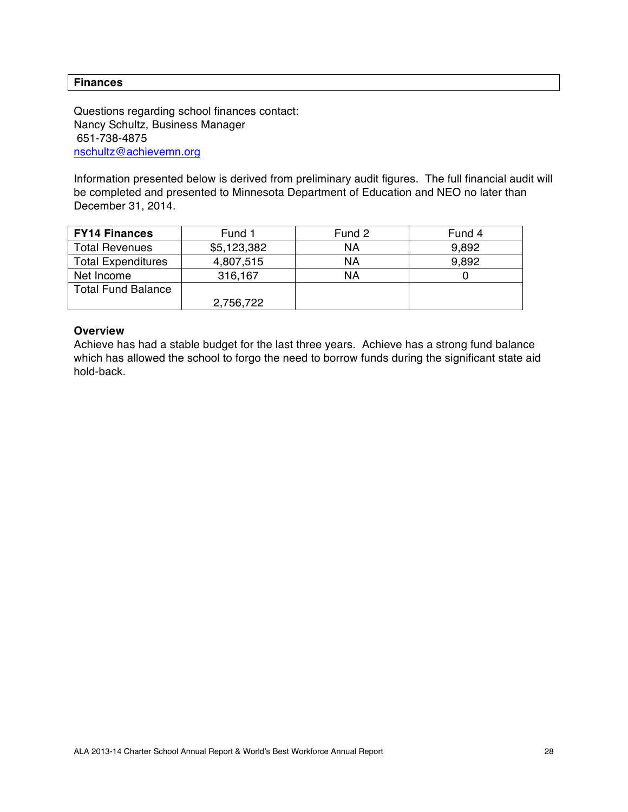#### **Finances**

Questions regarding school finances contact: Nancy Schultz, Business Manager 651-738-4875 nschultz@achievemn.org

Information presented below is derived from preliminary audit figures. The full financial audit will be completed and presented to Minnesota Department of Education and NEO no later than December 31, 2014.

| <b>FY14 Finances</b>      | Fund 1      | Fund 2 | Fund 4 |
|---------------------------|-------------|--------|--------|
| <b>Total Revenues</b>     | \$5,123,382 | ΝA     | 9,892  |
| <b>Total Expenditures</b> | 4,807,515   | ΝA     | 9,892  |
| Net Income                | 316,167     | ΝA     |        |
| <b>Total Fund Balance</b> |             |        |        |
|                           | 2,756,722   |        |        |

#### **Overview**

Achieve has had a stable budget for the last three years. Achieve has a strong fund balance which has allowed the school to forgo the need to borrow funds during the significant state aid hold-back.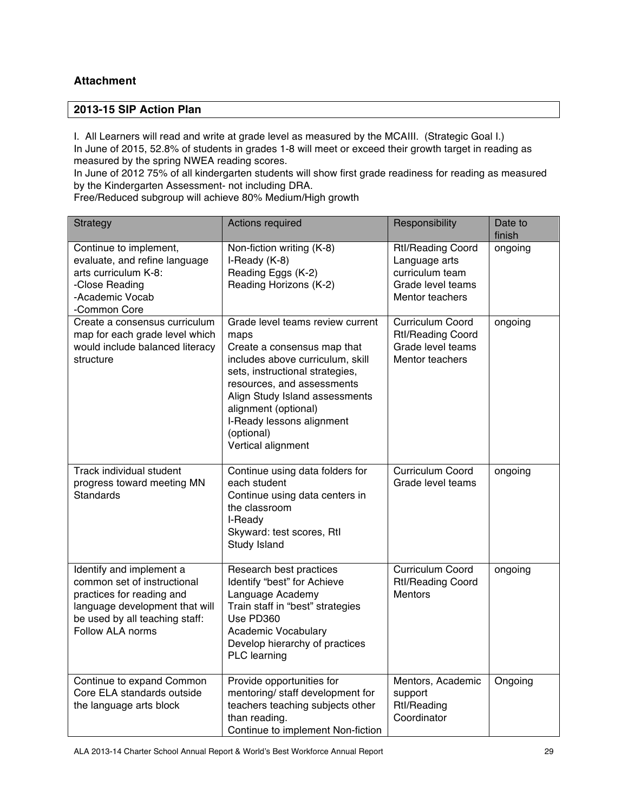## **Attachment**

#### **2013-15 SIP Action Plan**

I. All Learners will read and write at grade level as measured by the MCAIII. (Strategic Goal I.) In June of 2015, 52.8% of students in grades 1-8 will meet or exceed their growth target in reading as measured by the spring NWEA reading scores.

In June of 2012 75% of all kindergarten students will show first grade readiness for reading as measured by the Kindergarten Assessment- not including DRA.

Free/Reduced subgroup will achieve 80% Medium/High growth

| <b>Strategy</b>                                                                                                                                                              | Actions required                                                                                                                                                                                                                                                                                        | Responsibility                                                                                       | Date to<br>finish |
|------------------------------------------------------------------------------------------------------------------------------------------------------------------------------|---------------------------------------------------------------------------------------------------------------------------------------------------------------------------------------------------------------------------------------------------------------------------------------------------------|------------------------------------------------------------------------------------------------------|-------------------|
| Continue to implement,<br>evaluate, and refine language<br>arts curriculum K-8:<br>-Close Reading<br>-Academic Vocab<br>-Common Core                                         | Non-fiction writing (K-8)<br>I-Ready (K-8)<br>Reading Eggs (K-2)<br>Reading Horizons (K-2)                                                                                                                                                                                                              | <b>Rtl/Reading Coord</b><br>Language arts<br>curriculum team<br>Grade level teams<br>Mentor teachers | ongoing           |
| Create a consensus curriculum<br>map for each grade level which<br>would include balanced literacy<br>structure                                                              | Grade level teams review current<br>maps<br>Create a consensus map that<br>includes above curriculum, skill<br>sets, instructional strategies,<br>resources, and assessments<br>Align Study Island assessments<br>alignment (optional)<br>I-Ready lessons alignment<br>(optional)<br>Vertical alignment | Curriculum Coord<br><b>Rtl/Reading Coord</b><br>Grade level teams<br>Mentor teachers                 | ongoing           |
| Track individual student<br>progress toward meeting MN<br><b>Standards</b>                                                                                                   | Continue using data folders for<br>each student<br>Continue using data centers in<br>the classroom<br>I-Ready<br>Skyward: test scores, Rtl<br>Study Island                                                                                                                                              | Curriculum Coord<br>Grade level teams                                                                | ongoing           |
| Identify and implement a<br>common set of instructional<br>practices for reading and<br>language development that will<br>be used by all teaching staff:<br>Follow ALA norms | Research best practices<br>Identify "best" for Achieve<br>Language Academy<br>Train staff in "best" strategies<br>Use PD360<br><b>Academic Vocabulary</b><br>Develop hierarchy of practices<br>PLC learning                                                                                             | Curriculum Coord<br><b>Rtl/Reading Coord</b><br><b>Mentors</b>                                       | ongoing           |
| Continue to expand Common<br>Core ELA standards outside<br>the language arts block                                                                                           | Provide opportunities for<br>mentoring/ staff development for<br>teachers teaching subjects other<br>than reading.<br>Continue to implement Non-fiction                                                                                                                                                 | Mentors, Academic<br>support<br><b>Rtl/Reading</b><br>Coordinator                                    | Ongoing           |

ALA 2013-14 Charter School Annual Report & World's Best Workforce Annual Report 29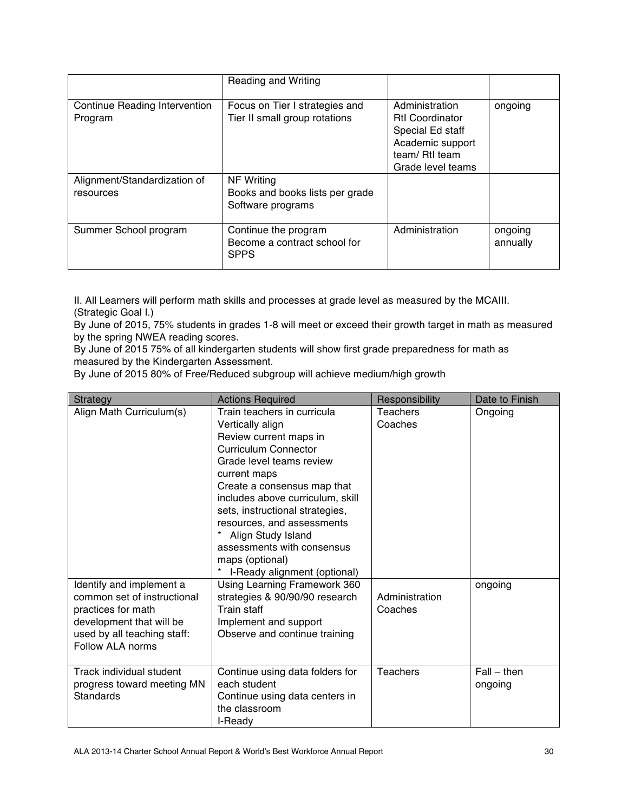|                                           | Reading and Writing                                                       |                                                                                                                         |                     |
|-------------------------------------------|---------------------------------------------------------------------------|-------------------------------------------------------------------------------------------------------------------------|---------------------|
| Continue Reading Intervention<br>Program  | Focus on Tier I strategies and<br>Tier II small group rotations           | Administration<br><b>Rtl Coordinator</b><br>Special Ed staff<br>Academic support<br>team/ RtI team<br>Grade level teams | ongoing             |
| Alignment/Standardization of<br>resources | <b>NF Writing</b><br>Books and books lists per grade<br>Software programs |                                                                                                                         |                     |
| Summer School program                     | Continue the program<br>Become a contract school for<br><b>SPPS</b>       | Administration                                                                                                          | ongoing<br>annually |

II. All Learners will perform math skills and processes at grade level as measured by the MCAIII. (Strategic Goal I.)

By June of 2015, 75% students in grades 1-8 will meet or exceed their growth target in math as measured by the spring NWEA reading scores.

By June of 2015 75% of all kindergarten students will show first grade preparedness for math as measured by the Kindergarten Assessment.

By June of 2015 80% of Free/Reduced subgroup will achieve medium/high growth

| <b>Strategy</b>                                                                                                                                              | <b>Actions Required</b>                                                                                                                                                                                                                                                                                                                                                                  | Responsibility            | Date to Finish           |
|--------------------------------------------------------------------------------------------------------------------------------------------------------------|------------------------------------------------------------------------------------------------------------------------------------------------------------------------------------------------------------------------------------------------------------------------------------------------------------------------------------------------------------------------------------------|---------------------------|--------------------------|
| Align Math Curriculum(s)                                                                                                                                     | Train teachers in curricula<br>Vertically align<br>Review current maps in<br>Curriculum Connector<br>Grade level teams review<br>current maps<br>Create a consensus map that<br>includes above curriculum, skill<br>sets, instructional strategies,<br>resources, and assessments<br>Align Study Island<br>assessments with consensus<br>maps (optional)<br>I-Ready alignment (optional) | Teachers<br>Coaches       | Ongoing                  |
| Identify and implement a<br>common set of instructional<br>practices for math<br>development that will be<br>used by all teaching staff:<br>Follow ALA norms | Using Learning Framework 360<br>strategies & 90/90/90 research<br>Train staff<br>Implement and support<br>Observe and continue training                                                                                                                                                                                                                                                  | Administration<br>Coaches | ongoing                  |
| Track individual student<br>progress toward meeting MN<br><b>Standards</b>                                                                                   | Continue using data folders for<br>each student<br>Continue using data centers in<br>the classroom<br>I-Ready                                                                                                                                                                                                                                                                            | <b>Teachers</b>           | $Fall - then$<br>ongoing |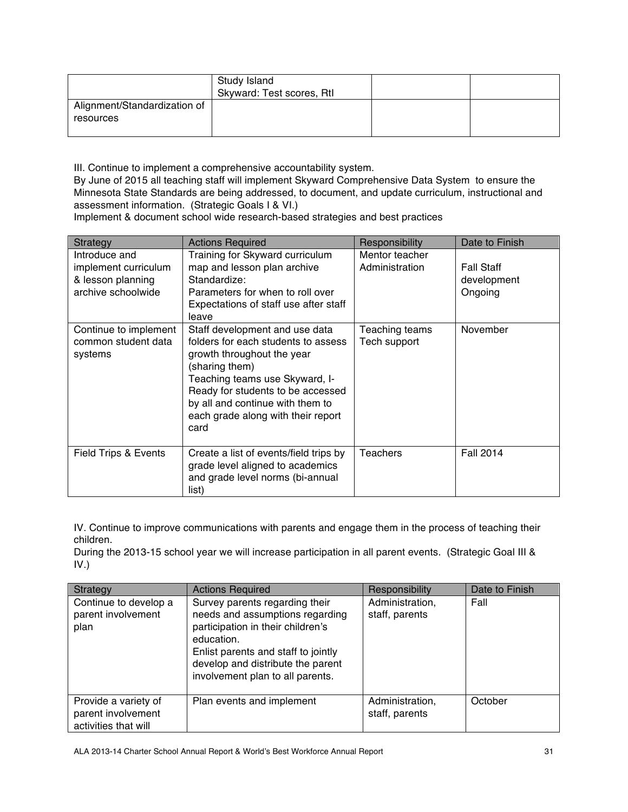|                                           | Study Island<br>Skyward: Test scores, Rtl |  |
|-------------------------------------------|-------------------------------------------|--|
| Alignment/Standardization of<br>resources |                                           |  |

III. Continue to implement a comprehensive accountability system.

By June of 2015 all teaching staff will implement Skyward Comprehensive Data System to ensure the Minnesota State Standards are being addressed, to document, and update curriculum, instructional and assessment information. (Strategic Goals I & VI.)

Implement & document school wide research-based strategies and best practices

| Strategy                                                                         | <b>Actions Required</b>                                                                                                                                                                                                                                                        | Responsibility                   | Date to Finish                              |
|----------------------------------------------------------------------------------|--------------------------------------------------------------------------------------------------------------------------------------------------------------------------------------------------------------------------------------------------------------------------------|----------------------------------|---------------------------------------------|
| Introduce and<br>implement curriculum<br>& lesson planning<br>archive schoolwide | Training for Skyward curriculum<br>map and lesson plan archive<br>Standardize:<br>Parameters for when to roll over<br>Expectations of staff use after staff<br>leave                                                                                                           | Mentor teacher<br>Administration | <b>Fall Staff</b><br>development<br>Ongoing |
| Continue to implement<br>common student data<br>systems                          | Staff development and use data<br>folders for each students to assess<br>growth throughout the year<br>(sharing them)<br>Teaching teams use Skyward, I-<br>Ready for students to be accessed<br>by all and continue with them to<br>each grade along with their report<br>card | Teaching teams<br>Tech support   | November                                    |
| Field Trips & Events                                                             | Create a list of events/field trips by<br>grade level aligned to academics<br>and grade level norms (bi-annual<br>list)                                                                                                                                                        | Teachers                         | <b>Fall 2014</b>                            |

IV. Continue to improve communications with parents and engage them in the process of teaching their children.

During the 2013-15 school year we will increase participation in all parent events. (Strategic Goal III & IV.)

| Strategy                                                           | <b>Actions Required</b>                                                                                                                                                                                                              | Responsibility                    | Date to Finish |
|--------------------------------------------------------------------|--------------------------------------------------------------------------------------------------------------------------------------------------------------------------------------------------------------------------------------|-----------------------------------|----------------|
| Continue to develop a<br>parent involvement<br>plan                | Survey parents regarding their<br>needs and assumptions regarding<br>participation in their children's<br>education.<br>Enlist parents and staff to jointly<br>develop and distribute the parent<br>involvement plan to all parents. | Administration,<br>staff, parents | Fall           |
| Provide a variety of<br>parent involvement<br>activities that will | Plan events and implement                                                                                                                                                                                                            | Administration,<br>staff, parents | October        |